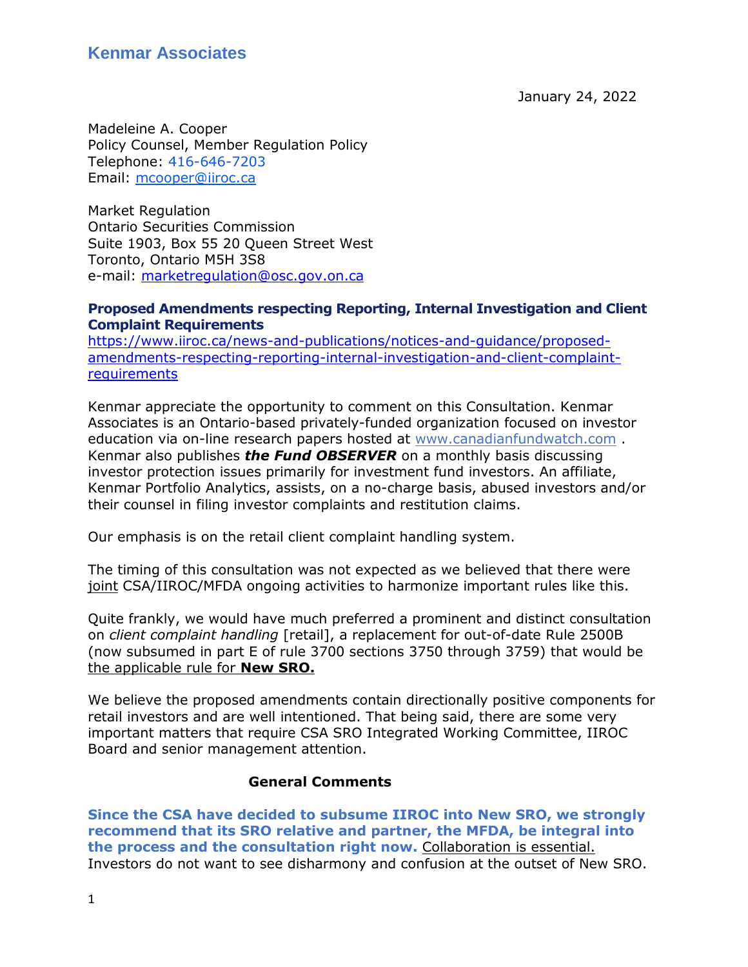January 24, 2022

Madeleine A. Cooper Policy Counsel, Member Regulation Policy Telephone: [416-646-7203](tel:416-646-7203) Email: [mcooper@iiroc.ca](mailto:mcooper@iiroc.ca)

Market Regulation Ontario Securities Commission Suite 1903, Box 55 20 Queen Street West Toronto, Ontario M5H 3S8 e-mail: [marketregulation@osc.gov.on.ca](mailto:marketregulation@osc.gov.on.ca)

#### **Proposed Amendments respecting Reporting, Internal Investigation and Client Complaint Requirements**

[https://www.iiroc.ca/news-and-publications/notices-and-guidance/proposed](https://www.iiroc.ca/news-and-publications/notices-and-guidance/proposed-amendments-respecting-reporting-internal-investigation-and-client-complaint-requirements)[amendments-respecting-reporting-internal-investigation-and-client-complaint](https://www.iiroc.ca/news-and-publications/notices-and-guidance/proposed-amendments-respecting-reporting-internal-investigation-and-client-complaint-requirements)[requirements](https://www.iiroc.ca/news-and-publications/notices-and-guidance/proposed-amendments-respecting-reporting-internal-investigation-and-client-complaint-requirements)

Kenmar appreciate the opportunity to comment on this Consultation. Kenmar Associates is an Ontario-based privately-funded organization focused on investor education via on-line research papers hosted at [www.canadianfundwatch.com](http://www.canadianfundwatch.com/) . Kenmar also publishes *the Fund OBSERVER* on a monthly basis discussing investor protection issues primarily for investment fund investors. An affiliate, Kenmar Portfolio Analytics, assists, on a no-charge basis, abused investors and/or their counsel in filing investor complaints and restitution claims.

Our emphasis is on the retail client complaint handling system.

The timing of this consultation was not expected as we believed that there were joint CSA/IIROC/MFDA ongoing activities to harmonize important rules like this.

Quite frankly, we would have much preferred a prominent and distinct consultation on *client complaint handling* [retail], a replacement for out-of-date Rule 2500B (now subsumed in part E of rule 3700 sections 3750 through 3759) that would be the applicable rule for **New SRO.** 

We believe the proposed amendments contain directionally positive components for retail investors and are well intentioned. That being said, there are some very important matters that require CSA SRO Integrated Working Committee, IIROC Board and senior management attention.

#### **General Comments**

**Since the CSA have decided to subsume IIROC into New SRO, we strongly recommend that its SRO relative and partner, the MFDA, be integral into the process and the consultation right now.** Collaboration is essential. Investors do not want to see disharmony and confusion at the outset of New SRO.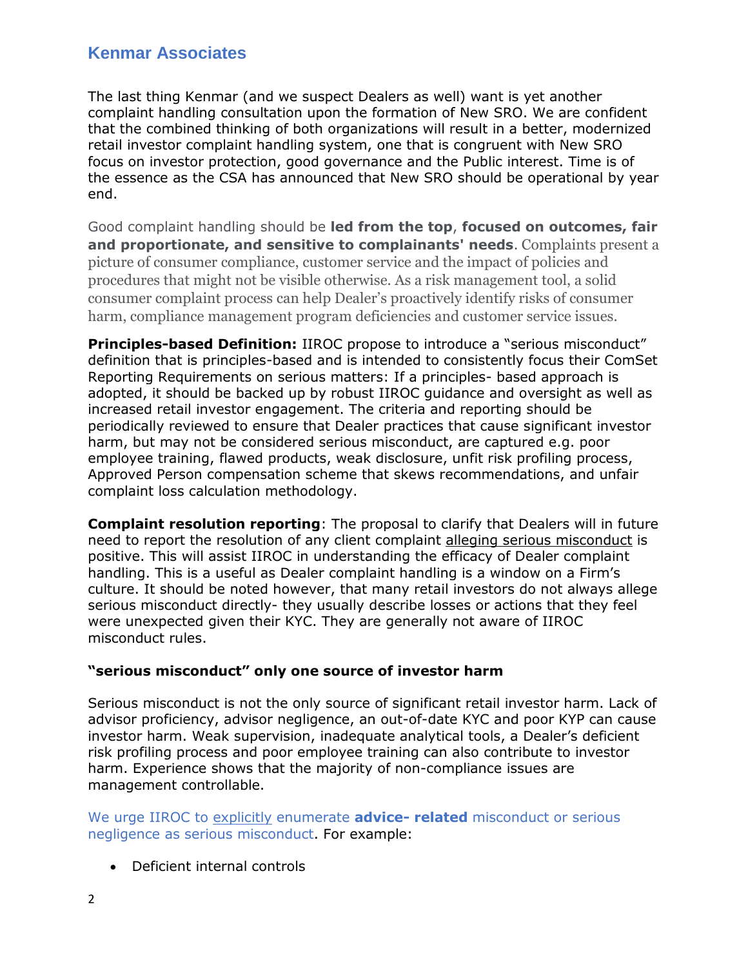The last thing Kenmar (and we suspect Dealers as well) want is yet another complaint handling consultation upon the formation of New SRO. We are confident that the combined thinking of both organizations will result in a better, modernized retail investor complaint handling system, one that is congruent with New SRO focus on investor protection, good governance and the Public interest. Time is of the essence as the CSA has announced that New SRO should be operational by year end.

Good complaint handling should be **led from the top**, **focused on outcomes, fair and proportionate, and sensitive to complainants' needs**. Complaints present a picture of consumer compliance, customer service and the impact of policies and procedures that might not be visible otherwise. As a risk management tool, a solid consumer complaint process can help Dealer's proactively identify risks of consumer harm, compliance management program deficiencies and customer service issues.

**Principles-based Definition:** IIROC propose to introduce a "serious misconduct" definition that is principles-based and is intended to consistently focus their ComSet Reporting Requirements on serious matters: If a principles- based approach is adopted, it should be backed up by robust IIROC guidance and oversight as well as increased retail investor engagement. The criteria and reporting should be periodically reviewed to ensure that Dealer practices that cause significant investor harm, but may not be considered serious misconduct, are captured e.g. poor employee training, flawed products, weak disclosure, unfit risk profiling process, Approved Person compensation scheme that skews recommendations, and unfair complaint loss calculation methodology.

**Complaint resolution reporting**: The proposal to clarify that Dealers will in future need to report the resolution of any client complaint alleging serious misconduct is positive. This will assist IIROC in understanding the efficacy of Dealer complaint handling. This is a useful as Dealer complaint handling is a window on a Firm's culture. It should be noted however, that many retail investors do not always allege serious misconduct directly- they usually describe losses or actions that they feel were unexpected given their KYC. They are generally not aware of IIROC misconduct rules.

#### **"serious misconduct" only one source of investor harm**

Serious misconduct is not the only source of significant retail investor harm. Lack of advisor proficiency, advisor negligence, an out-of-date KYC and poor KYP can cause investor harm. Weak supervision, inadequate analytical tools, a Dealer's deficient risk profiling process and poor employee training can also contribute to investor harm. Experience shows that the majority of non-compliance issues are management controllable.

We urge IIROC to explicitly enumerate **advice- related** misconduct or serious negligence as serious misconduct. For example:

Deficient internal controls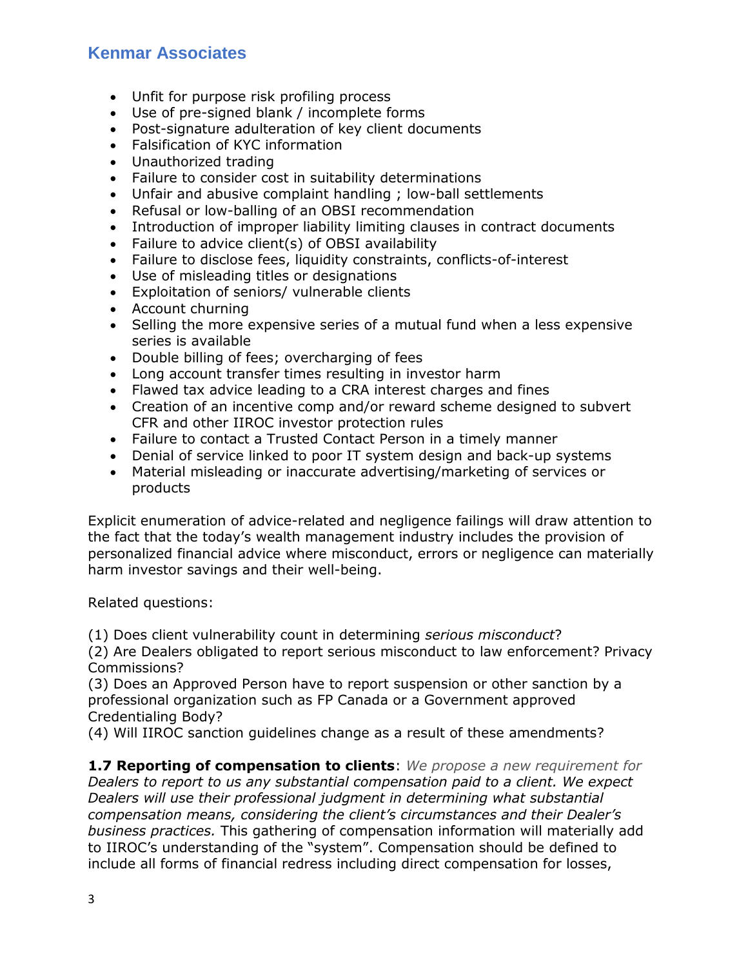- Unfit for purpose risk profiling process
- Use of pre-signed blank / incomplete forms
- Post-signature adulteration of key client documents
- Falsification of KYC information
- Unauthorized trading
- Failure to consider cost in suitability determinations
- Unfair and abusive complaint handling ; low-ball settlements
- Refusal or low-balling of an OBSI recommendation
- Introduction of improper liability limiting clauses in contract documents
- Failure to advice client(s) of OBSI availability
- Failure to disclose fees, liquidity constraints, conflicts-of-interest
- Use of misleading titles or designations
- Exploitation of seniors/ vulnerable clients
- Account churning
- Selling the more expensive series of a mutual fund when a less expensive series is available
- Double billing of fees; overcharging of fees
- Long account transfer times resulting in investor harm
- Flawed tax advice leading to a CRA interest charges and fines
- Creation of an incentive comp and/or reward scheme designed to subvert CFR and other IIROC investor protection rules
- Failure to contact a Trusted Contact Person in a timely manner
- Denial of service linked to poor IT system design and back-up systems
- Material misleading or inaccurate advertising/marketing of services or products

Explicit enumeration of advice-related and negligence failings will draw attention to the fact that the today's wealth management industry includes the provision of personalized financial advice where misconduct, errors or negligence can materially harm investor savings and their well-being.

Related questions:

(1) Does client vulnerability count in determining *serious misconduct*?

(2) Are Dealers obligated to report serious misconduct to law enforcement? Privacy Commissions?

(3) Does an Approved Person have to report suspension or other sanction by a professional organization such as FP Canada or a Government approved Credentialing Body?

(4) Will IIROC sanction guidelines change as a result of these amendments?

**1.7 Reporting of compensation to clients**: *We propose a new requirement for Dealers to report to us any substantial compensation paid to a client. We expect Dealers will use their professional judgment in determining what substantial compensation means, considering the client's circumstances and their Dealer's business practices.* This gathering of compensation information will materially add to IIROC's understanding of the "system". Compensation should be defined to include all forms of financial redress including direct compensation for losses,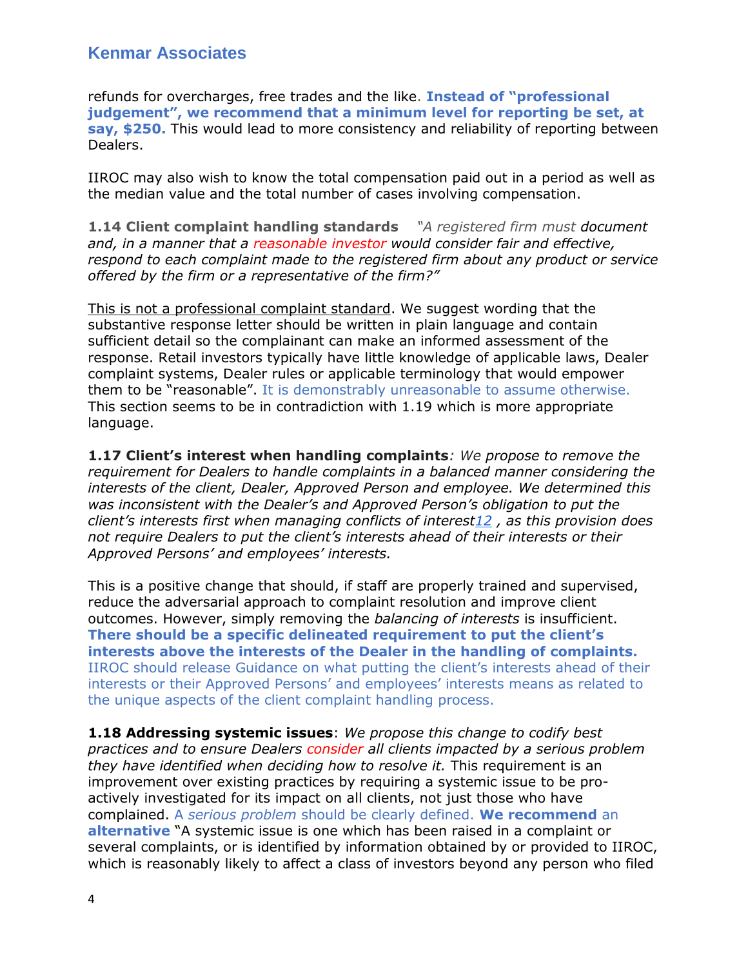refunds for overcharges, free trades and the like. **Instead of "professional judgement", we recommend that a minimum level for reporting be set, at say, \$250.** This would lead to more consistency and reliability of reporting between Dealers.

IIROC may also wish to know the total compensation paid out in a period as well as the median value and the total number of cases involving compensation.

**1.14 Client complaint handling standards** *"A registered firm must document and, in a manner that a reasonable investor would consider fair and effective, respond to each complaint made to the registered firm about any product or service offered by the firm or a representative of the firm?"*

This is not a professional complaint standard. We suggest wording that the substantive response letter should be written in plain language and contain sufficient detail so the complainant can make an informed assessment of the response. Retail investors typically have little knowledge of applicable laws, Dealer complaint systems, Dealer rules or applicable terminology that would empower them to be "reasonable". It is demonstrably unreasonable to assume otherwise. This section seems to be in contradiction with 1.19 which is more appropriate language.

**1.17 Client's interest when handling complaints***: We propose to remove the requirement for Dealers to handle complaints in a balanced manner considering the interests of the client, Dealer, Approved Person and employee. We determined this was inconsistent with the Dealer's and Approved Person's obligation to put the client's interests first when managing conflicts of interes[t12](https://www.iiroc.ca/news-and-publications/notices-and-guidance/proposed-amendments-respecting-reporting-internal-investigation-and-client-complaint-requirements#footnote12_c0xqqoo) , as this provision does not require Dealers to put the client's interests ahead of their interests or their Approved Persons' and employees' interests.*

This is a positive change that should, if staff are properly trained and supervised, reduce the adversarial approach to complaint resolution and improve client outcomes. However, simply removing the *balancing of interests* is insufficient. **There should be a specific delineated requirement to put the client's interests above the interests of the Dealer in the handling of complaints.** IIROC should release Guidance on what putting the client's interests ahead of their interests or their Approved Persons' and employees' interests means as related to the unique aspects of the client complaint handling process.

**1.18 Addressing systemic issues**: *We propose this change to codify best practices and to ensure Dealers consider all clients impacted by a serious problem they have identified when deciding how to resolve it.* This requirement is an improvement over existing practices by requiring a systemic issue to be proactively investigated for its impact on all clients, not just those who have complained. A *serious problem* should be clearly defined. **We recommend** an **alternative** "A systemic issue is one which has been raised in a complaint or several complaints, or is identified by information obtained by or provided to IIROC, which is reasonably likely to affect a class of investors beyond any person who filed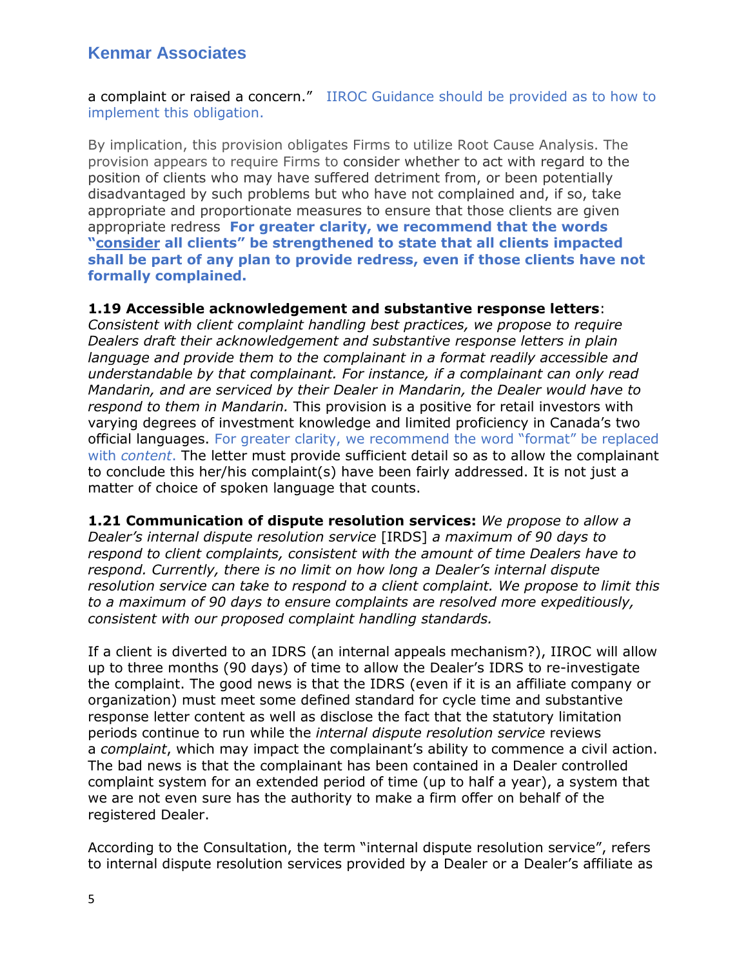a complaint or raised a concern." IIROC Guidance should be provided as to how to implement this obligation.

By implication, this provision obligates Firms to utilize Root Cause Analysis. The provision appears to require Firms to consider whether to act with regard to the position of clients who may have suffered detriment from, or been potentially disadvantaged by such problems but who have not complained and, if so, take appropriate and proportionate measures to ensure that those clients are given appropriate redress **For greater clarity, we recommend that the words "consider all clients" be strengthened to state that all clients impacted shall be part of any plan to provide redress, even if those clients have not formally complained.** 

#### **1.19 Accessible acknowledgement and substantive response letters**:

*Consistent with client complaint handling best practices, we propose to require Dealers draft their acknowledgement and substantive response letters in plain*  language and provide them to the complainant in a format readily accessible and *understandable by that complainant. For instance, if a complainant can only read Mandarin, and are serviced by their Dealer in Mandarin, the Dealer would have to respond to them in Mandarin.* This provision is a positive for retail investors with varying degrees of investment knowledge and limited proficiency in Canada's two official languages. For greater clarity, we recommend the word "format" be replaced with *content*. The letter must provide sufficient detail so as to allow the complainant to conclude this her/his complaint(s) have been fairly addressed. It is not just a matter of choice of spoken language that counts.

**1.21 Communication of dispute resolution services:** *We propose to allow a Dealer's internal dispute resolution service* [IRDS] *a maximum of 90 days to respond to client complaints, consistent with the amount of time Dealers have to respond. Currently, there is no limit on how long a Dealer's internal dispute resolution service can take to respond to a client complaint. We propose to limit this to a maximum of 90 days to ensure complaints are resolved more expeditiously, consistent with our proposed complaint handling standards.*

If a client is diverted to an IDRS (an internal appeals mechanism?), IIROC will allow up to three months (90 days) of time to allow the Dealer's IDRS to re-investigate the complaint. The good news is that the IDRS (even if it is an affiliate company or organization) must meet some defined standard for cycle time and substantive response letter content as well as disclose the fact that the statutory limitation periods continue to run while the *internal dispute resolution service* reviews a *complaint*, which may impact the complainant's ability to commence a civil action. The bad news is that the complainant has been contained in a Dealer controlled complaint system for an extended period of time (up to half a year), a system that we are not even sure has the authority to make a firm offer on behalf of the registered Dealer.

According to the Consultation, the term "internal dispute resolution service", refers to internal dispute resolution services provided by a Dealer or a Dealer's affiliate as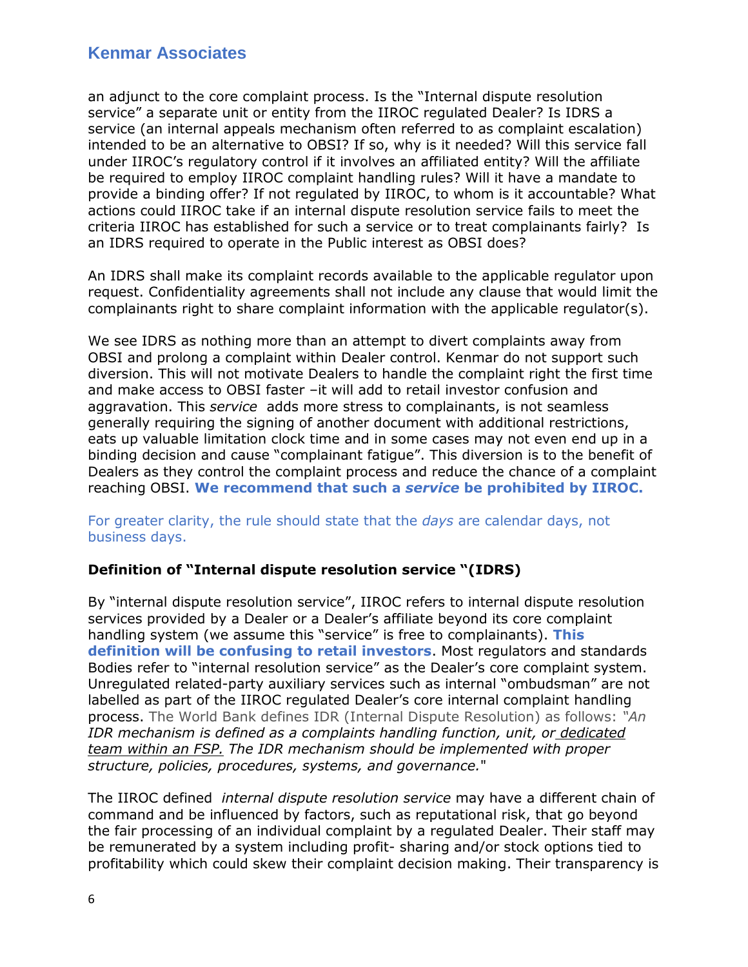an adjunct to the core complaint process. Is the "Internal dispute resolution service" a separate unit or entity from the IIROC regulated Dealer? Is IDRS a service (an internal appeals mechanism often referred to as complaint escalation) intended to be an alternative to OBSI? If so, why is it needed? Will this service fall under IIROC's regulatory control if it involves an affiliated entity? Will the affiliate be required to employ IIROC complaint handling rules? Will it have a mandate to provide a binding offer? If not regulated by IIROC, to whom is it accountable? What actions could IIROC take if an internal dispute resolution service fails to meet the criteria IIROC has established for such a service or to treat complainants fairly? Is an IDRS required to operate in the Public interest as OBSI does?

An IDRS shall make its complaint records available to the applicable regulator upon request. Confidentiality agreements shall not include any clause that would limit the complainants right to share complaint information with the applicable regulator(s).

We see IDRS as nothing more than an attempt to divert complaints away from OBSI and prolong a complaint within Dealer control. Kenmar do not support such diversion. This will not motivate Dealers to handle the complaint right the first time and make access to OBSI faster –it will add to retail investor confusion and aggravation. This *service* adds more stress to complainants, is not seamless generally requiring the signing of another document with additional restrictions, eats up valuable limitation clock time and in some cases may not even end up in a binding decision and cause "complainant fatigue". This diversion is to the benefit of Dealers as they control the complaint process and reduce the chance of a complaint reaching OBSI. **We recommend that such a** *service* **be prohibited by IIROC.** 

#### For greater clarity, the rule should state that the *days* are calendar days, not business days.

#### **Definition of "Internal dispute resolution service "(IDRS)**

By "internal dispute resolution service", IIROC refers to internal dispute resolution services provided by a Dealer or a Dealer's affiliate beyond its core complaint handling system (we assume this "service" is free to complainants). **This definition will be confusing to retail investors**. Most regulators and standards Bodies refer to "internal resolution service" as the Dealer's core complaint system. Unregulated related-party auxiliary services such as internal "ombudsman" are not labelled as part of the IIROC regulated Dealer's core internal complaint handling process. The World Bank defines IDR (Internal Dispute Resolution) as follows: *"An IDR mechanism is defined as a complaints handling function, unit, or dedicated team within an FSP. The IDR mechanism should be implemented with proper structure, policies, procedures, systems, and governance.*"

The IIROC defined *internal dispute resolution service* may have a different chain of command and be influenced by factors, such as reputational risk, that go beyond the fair processing of an individual complaint by a regulated Dealer. Their staff may be remunerated by a system including profit- sharing and/or stock options tied to profitability which could skew their complaint decision making. Their transparency is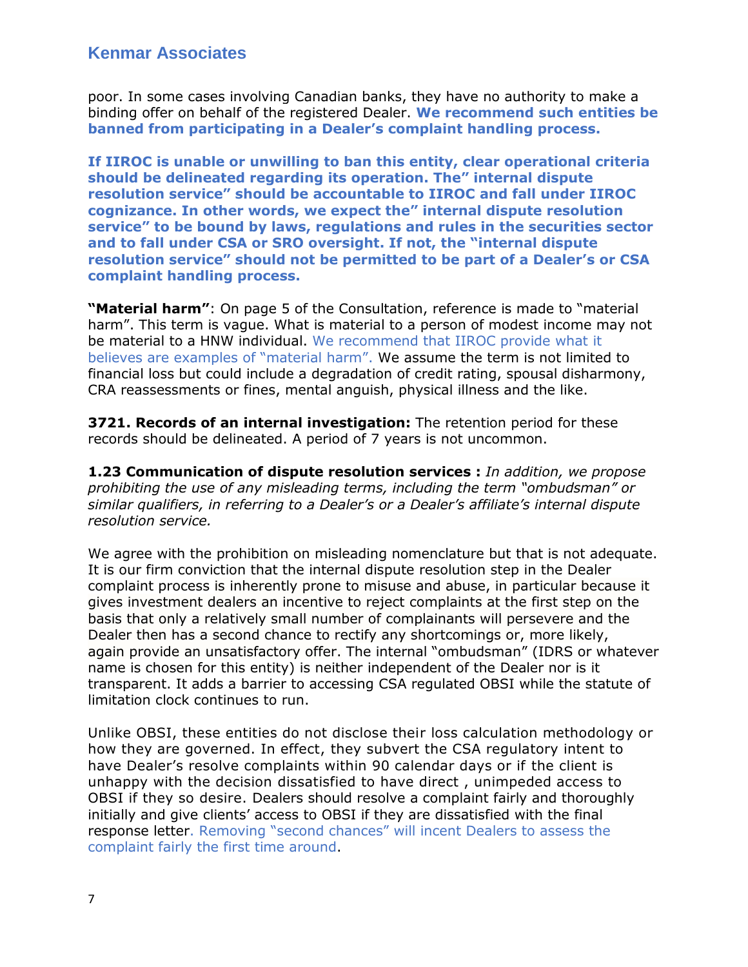poor. In some cases involving Canadian banks, they have no authority to make a binding offer on behalf of the registered Dealer. **We recommend such entities be banned from participating in a Dealer's complaint handling process.**

**If IIROC is unable or unwilling to ban this entity, clear operational criteria should be delineated regarding its operation. The" internal dispute resolution service" should be accountable to IIROC and fall under IIROC cognizance. In other words, we expect the" internal dispute resolution service" to be bound by laws, regulations and rules in the securities sector and to fall under CSA or SRO oversight. If not, the "internal dispute resolution service" should not be permitted to be part of a Dealer's or CSA complaint handling process.** 

**"Material harm"**: On page 5 of the Consultation, reference is made to "material harm". This term is vague. What is material to a person of modest income may not be material to a HNW individual. We recommend that IIROC provide what it believes are examples of "material harm". We assume the term is not limited to financial loss but could include a degradation of credit rating, spousal disharmony, CRA reassessments or fines, mental anguish, physical illness and the like.

**3721. Records of an internal investigation:** The retention period for these records should be delineated. A period of 7 years is not uncommon.

**1.23 Communication of dispute resolution services :** *In addition, we propose prohibiting the use of any misleading terms, including the term "ombudsman" or similar qualifiers, in referring to a Dealer's or a Dealer's affiliate's internal dispute resolution service.*

We agree with the prohibition on misleading nomenclature but that is not adequate. It is our firm conviction that the internal dispute resolution step in the Dealer complaint process is inherently prone to misuse and abuse, in particular because it gives investment dealers an incentive to reject complaints at the first step on the basis that only a relatively small number of complainants will persevere and the Dealer then has a second chance to rectify any shortcomings or, more likely, again provide an unsatisfactory offer. The internal "ombudsman" (IDRS or whatever name is chosen for this entity) is neither independent of the Dealer nor is it transparent. It adds a barrier to accessing CSA regulated OBSI while the statute of limitation clock continues to run.

Unlike OBSI, these entities do not disclose their loss calculation methodology or how they are governed. In effect, they subvert the CSA regulatory intent to have Dealer's resolve complaints within 90 calendar days or if the client is unhappy with the decision dissatisfied to have direct , unimpeded access to OBSI if they so desire. Dealers should resolve a complaint fairly and thoroughly initially and give clients' access to OBSI if they are dissatisfied with the final response letter. Removing "second chances" will incent Dealers to assess the complaint fairly the first time around.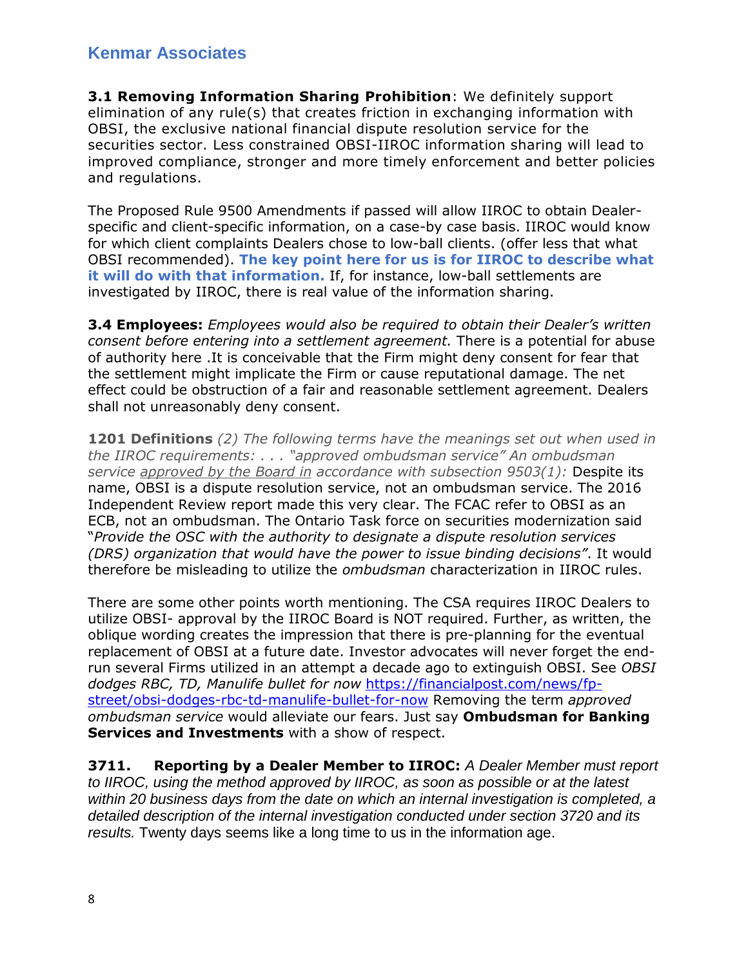**3.1 Removing Information Sharing Prohibition**: We definitely support elimination of any rule(s) that creates friction in exchanging information with OBSI, the exclusive national financial dispute resolution service for the securities sector. Less constrained OBSI-IIROC information sharing will lead to improved compliance, stronger and more timely enforcement and better policies and regulations.

The Proposed Rule 9500 Amendments if passed will allow IIROC to obtain Dealerspecific and client-specific information, on a case-by case basis. IIROC would know for which client complaints Dealers chose to low-ball clients. (offer less that what OBSI recommended). **The key point here for us is for IIROC to describe what it will do with that information.** If, for instance, low-ball settlements are investigated by IIROC, there is real value of the information sharing.

**3.4 Employees:** *Employees would also be required to obtain their Dealer's written consent before entering into a settlement agreement.* There is a potential for abuse of authority here .It is conceivable that the Firm might deny consent for fear that the settlement might implicate the Firm or cause reputational damage. The net effect could be obstruction of a fair and reasonable settlement agreement. Dealers shall not unreasonably deny consent.

**1201 Definitions** *(2) The following terms have the meanings set out when used in the IIROC requirements: . . . "approved ombudsman service" An ombudsman service approved by the Board in accordance with subsection 9503(1):* Despite its name, OBSI is a dispute resolution service, not an ombudsman service. The 2016 Independent Review report made this very clear. The FCAC refer to OBSI as an ECB, not an ombudsman. The Ontario Task force on securities modernization said "*Provide the OSC with the authority to designate a dispute resolution services (DRS) organization that would have the power to issue binding decisions"*. It would therefore be misleading to utilize the *ombudsman* characterization in IIROC rules.

There are some other points worth mentioning. The CSA requires IIROC Dealers to utilize OBSI- approval by the IIROC Board is NOT required. Further, as written, the oblique wording creates the impression that there is pre-planning for the eventual replacement of OBSI at a future date. Investor advocates will never forget the endrun several Firms utilized in an attempt a decade ago to extinguish OBSI. See *OBSI dodges RBC, TD, Manulife bullet for now* [https://financialpost.com/news/fp](https://financialpost.com/news/fp-street/obsi-dodges-rbc-td-manulife-bullet-for-now)[street/obsi-dodges-rbc-td-manulife-bullet-for-now](https://financialpost.com/news/fp-street/obsi-dodges-rbc-td-manulife-bullet-for-now) Removing the term *approved ombudsman service* would alleviate our fears. Just say **Ombudsman for Banking Services and Investments** with a show of respect.

**3711. Reporting by a Dealer Member to IIROC:** *A Dealer Member must report to IIROC, using the method approved by IIROC, as soon as possible or at the latest within 20 business days from the date on which an internal investigation is completed, a detailed description of the internal investigation conducted under section 3720 and its results.* Twenty days seems like a long time to us in the information age.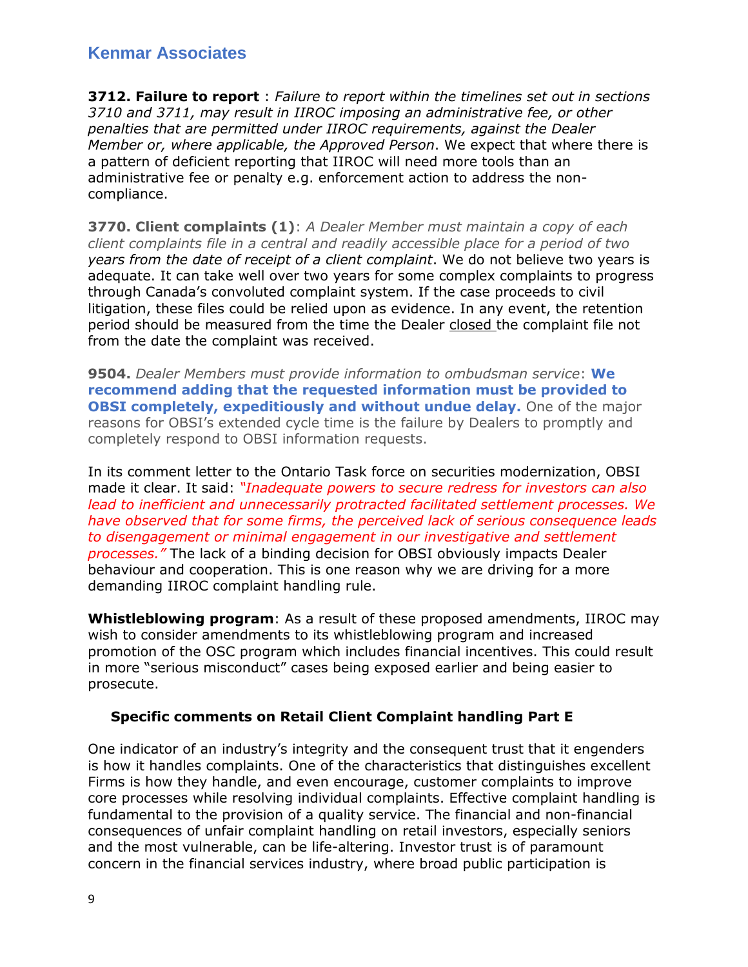**3712. Failure to report** : *Failure to report within the timelines set out in sections 3710 and 3711, may result in IIROC imposing an administrative fee, or other penalties that are permitted under IIROC requirements, against the Dealer Member or, where applicable, the Approved Person*. We expect that where there is a pattern of deficient reporting that IIROC will need more tools than an administrative fee or penalty e.g. enforcement action to address the noncompliance.

**3770. Client complaints (1)**: *A Dealer Member must maintain a copy of each client complaints file in a central and readily accessible place for a period of two years from the date of receipt of a client complaint*. We do not believe two years is adequate. It can take well over two years for some complex complaints to progress through Canada's convoluted complaint system. If the case proceeds to civil litigation, these files could be relied upon as evidence. In any event, the retention period should be measured from the time the Dealer closed the complaint file not from the date the complaint was received.

**9504.** *Dealer Members must provide information to ombudsman service*: **We recommend adding that the requested information must be provided to OBSI completely, expeditiously and without undue delay.** One of the major reasons for OBSI's extended cycle time is the failure by Dealers to promptly and completely respond to OBSI information requests.

In its comment letter to the Ontario Task force on securities modernization, OBSI made it clear. It said: *"Inadequate powers to secure redress for investors can also lead to inefficient and unnecessarily protracted facilitated settlement processes. We have observed that for some firms, the perceived lack of serious consequence leads to disengagement or minimal engagement in our investigative and settlement processes."* The lack of a binding decision for OBSI obviously impacts Dealer behaviour and cooperation. This is one reason why we are driving for a more demanding IIROC complaint handling rule.

**Whistleblowing program**: As a result of these proposed amendments, IIROC may wish to consider amendments to its whistleblowing program and increased promotion of the OSC program which includes financial incentives. This could result in more "serious misconduct" cases being exposed earlier and being easier to prosecute.

#### **Specific comments on Retail Client Complaint handling Part E**

One indicator of an industry's integrity and the consequent trust that it engenders is how it handles complaints. One of the characteristics that distinguishes excellent Firms is how they handle, and even encourage, customer complaints to improve core processes while resolving individual complaints. Effective complaint handling is fundamental to the provision of a quality service. The financial and non-financial consequences of unfair complaint handling on retail investors, especially seniors and the most vulnerable, can be life-altering. Investor trust is of paramount concern in the financial services industry, where broad public participation is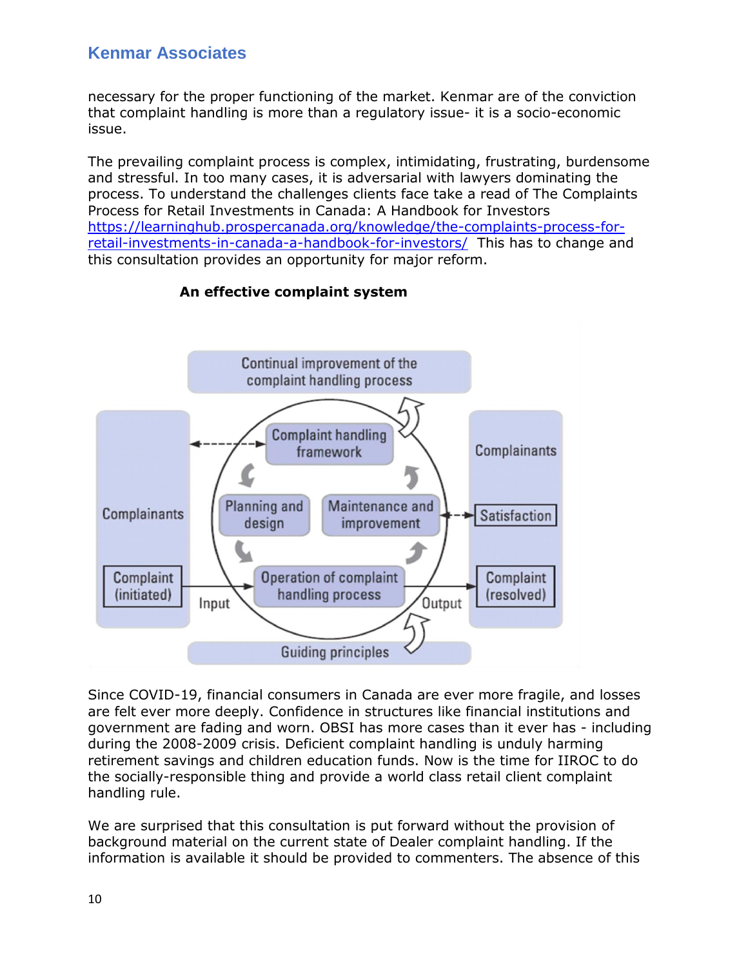necessary for the proper functioning of the market. Kenmar are of the conviction that complaint handling is more than a regulatory issue- it is a socio-economic issue.

The prevailing complaint process is complex, intimidating, frustrating, burdensome and stressful. In too many cases, it is adversarial with lawyers dominating the process. To understand the challenges clients face take a read of The Complaints Process for Retail Investments in Canada: A Handbook for Investors [https://learninghub.prospercanada.org/knowledge/the-complaints-process-for](https://learninghub.prospercanada.org/knowledge/the-complaints-process-for-retail-investments-in-canada-a-handbook-for-investors/)[retail-investments-in-canada-a-handbook-for-investors/](https://learninghub.prospercanada.org/knowledge/the-complaints-process-for-retail-investments-in-canada-a-handbook-for-investors/) This has to change and this consultation provides an opportunity for major reform.



### **An effective complaint system**

Since COVID-19, financial consumers in Canada are ever more fragile, and losses are felt ever more deeply. Confidence in structures like financial institutions and government are fading and worn. OBSI has more cases than it ever has - including during the 2008-2009 crisis. Deficient complaint handling is unduly harming retirement savings and children education funds. Now is the time for IIROC to do the socially-responsible thing and provide a world class retail client complaint handling rule.

We are surprised that this consultation is put forward without the provision of background material on the current state of Dealer complaint handling. If the information is available it should be provided to commenters. The absence of this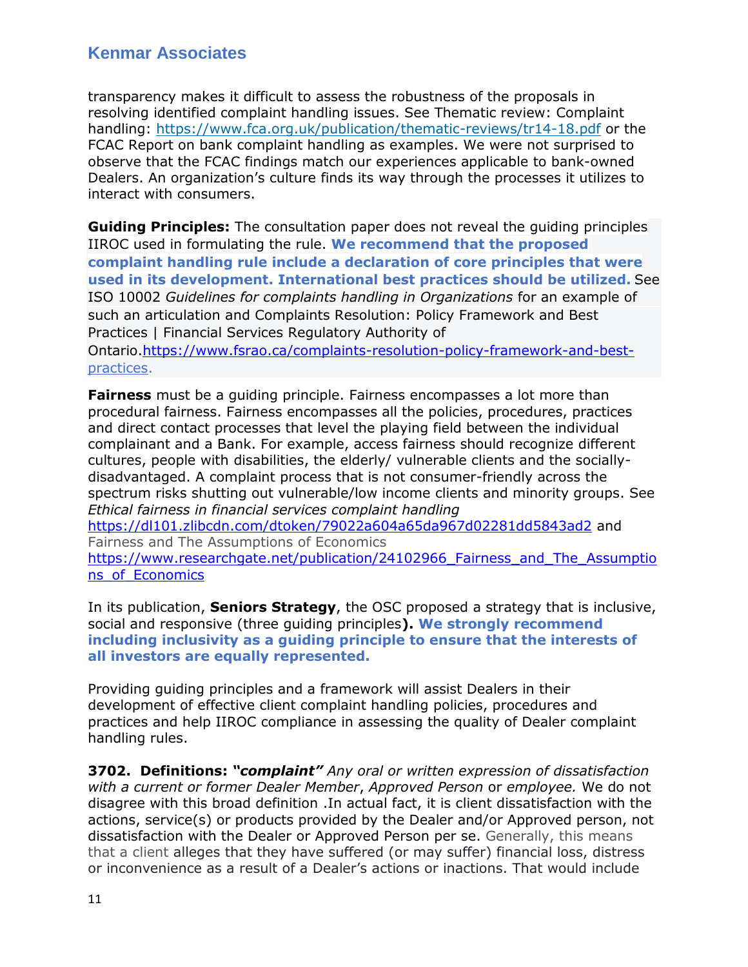transparency makes it difficult to assess the robustness of the proposals in resolving identified complaint handling issues. See Thematic review: Complaint handling:<https://www.fca.org.uk/publication/thematic-reviews/tr14-18.pdf> or the FCAC Report on bank complaint handling as examples. We were not surprised to observe that the FCAC findings match our experiences applicable to bank-owned Dealers. An organization's culture finds its way through the processes it utilizes to interact with consumers.

**Guiding Principles:** The consultation paper does not reveal the guiding principles IIROC used in formulating the rule. **We recommend that the proposed complaint handling rule include a declaration of core principles that were used in its development. International best practices should be utilized.** See ISO 10002 *Guidelines for complaints handling in Organizations* for an example of such an articulation and Complaints Resolution: Policy Framework and Best Practices | Financial Services Regulatory Authority of Ontario[.https://www.fsrao.ca/complaints-resolution-policy-framework-and-best](https://www.fsrao.ca/complaints-resolution-policy-framework-and-best-)practices.

**Fairness** must be a guiding principle. Fairness encompasses a lot more than procedural fairness. Fairness encompasses all the policies, procedures, practices and direct contact processes that level the playing field between the individual complainant and a Bank. For example, access fairness should recognize different cultures, people with disabilities, the elderly/ vulnerable clients and the sociallydisadvantaged. A complaint process that is not consumer-friendly across the spectrum risks shutting out vulnerable/low income clients and minority groups. See *Ethical fairness in financial services complaint handling* <https://dl101.zlibcdn.com/dtoken/79022a604a65da967d02281dd5843ad2> and Fairness and The Assumptions of Economics https://www.researchgate.net/publication/24102966 Fairness\_and The Assumptio [ns\\_of\\_Economics](https://www.researchgate.net/publication/24102966_Fairness_and_The_Assumptions_of_Economics)

In its publication, **Seniors Strategy**, the OSC proposed a strategy that is inclusive, social and responsive (three guiding principles**). We strongly recommend including inclusivity as a guiding principle to ensure that the interests of all investors are equally represented.**

Providing guiding principles and a framework will assist Dealers in their development of effective client complaint handling policies, procedures and practices and help IIROC compliance in assessing the quality of Dealer complaint handling rules.

**3702. Definitions:** *"complaint" Any oral or written expression of dissatisfaction with a current or former Dealer Member*, *Approved Person* or *employee.* We do not disagree with this broad definition .In actual fact, it is client dissatisfaction with the actions, service(s) or products provided by the Dealer and/or Approved person, not dissatisfaction with the Dealer or Approved Person per se. Generally, this means that a client alleges that they have suffered (or may suffer) financial loss, distress or inconvenience as a result of a Dealer's actions or inactions. That would include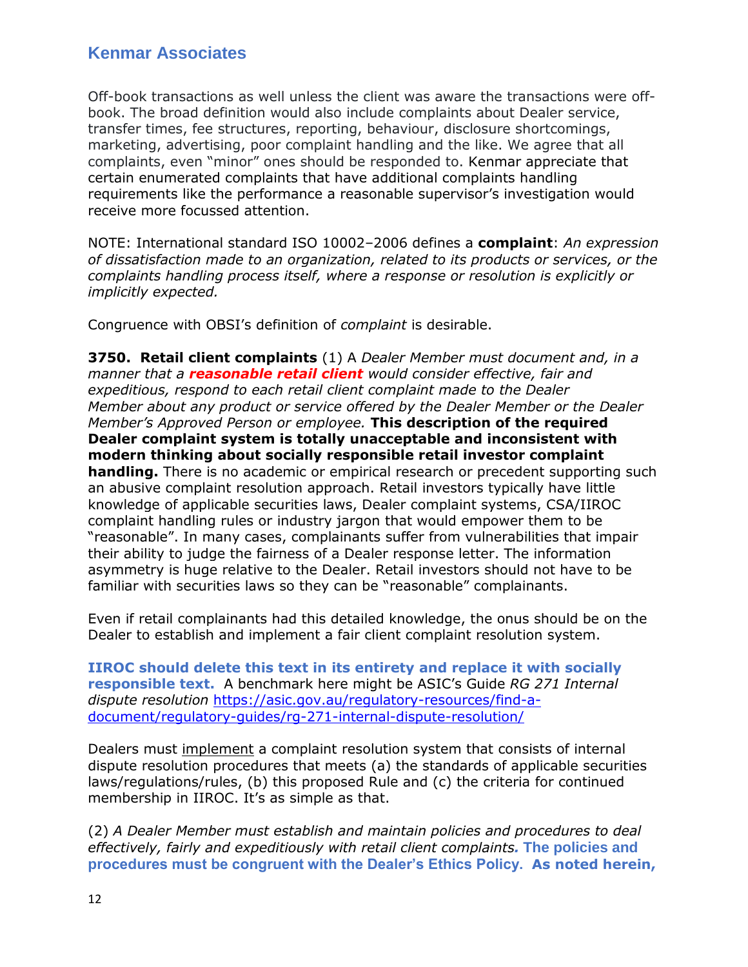Off-book transactions as well unless the client was aware the transactions were offbook. The broad definition would also include complaints about Dealer service, transfer times, fee structures, reporting, behaviour, disclosure shortcomings, marketing, advertising, poor complaint handling and the like. We agree that all complaints, even "minor" ones should be responded to. Kenmar appreciate that certain enumerated complaints that have additional complaints handling requirements like the performance a reasonable supervisor's investigation would receive more focussed attention.

NOTE: International standard ISO 10002–2006 defines a **complaint**: *An expression of dissatisfaction made to an organization, related to its products or services, or the complaints handling process itself, where a response or resolution is explicitly or implicitly expected.*

Congruence with OBSI's definition of *complaint* is desirable.

**3750. Retail client complaints** (1) A *Dealer Member must document and, in a manner that a reasonable retail client would consider effective, fair and expeditious, respond to each retail client complaint made to the Dealer Member about any product or service offered by the Dealer Member or the Dealer Member's Approved Person or employee.* **This description of the required Dealer complaint system is totally unacceptable and inconsistent with modern thinking about socially responsible retail investor complaint handling.** There is no academic or empirical research or precedent supporting such an abusive complaint resolution approach. Retail investors typically have little knowledge of applicable securities laws, Dealer complaint systems, CSA/IIROC complaint handling rules or industry jargon that would empower them to be "reasonable". In many cases, complainants suffer from vulnerabilities that impair their ability to judge the fairness of a Dealer response letter. The information asymmetry is huge relative to the Dealer. Retail investors should not have to be familiar with securities laws so they can be "reasonable" complainants.

Even if retail complainants had this detailed knowledge, the onus should be on the Dealer to establish and implement a fair client complaint resolution system.

**IIROC should delete this text in its entirety and replace it with socially responsible text.** A benchmark here might be ASIC's Guide *RG 271 Internal dispute resolution* [https://asic.gov.au/regulatory-resources/find-a](https://asic.gov.au/regulatory-resources/find-a-document/regulatory-guides/rg-271-internal-dispute-resolution/)[document/regulatory-guides/rg-271-internal-dispute-resolution/](https://asic.gov.au/regulatory-resources/find-a-document/regulatory-guides/rg-271-internal-dispute-resolution/)

Dealers must implement a complaint resolution system that consists of internal dispute resolution procedures that meets (a) the standards of applicable securities laws/regulations/rules, (b) this proposed Rule and (c) the criteria for continued membership in IIROC. It's as simple as that.

(2) *A Dealer Member must establish and maintain policies and procedures to deal effectively, fairly and expeditiously with retail client complaints.* **The policies and procedures must be congruent with the Dealer's Ethics Policy. As noted herein,**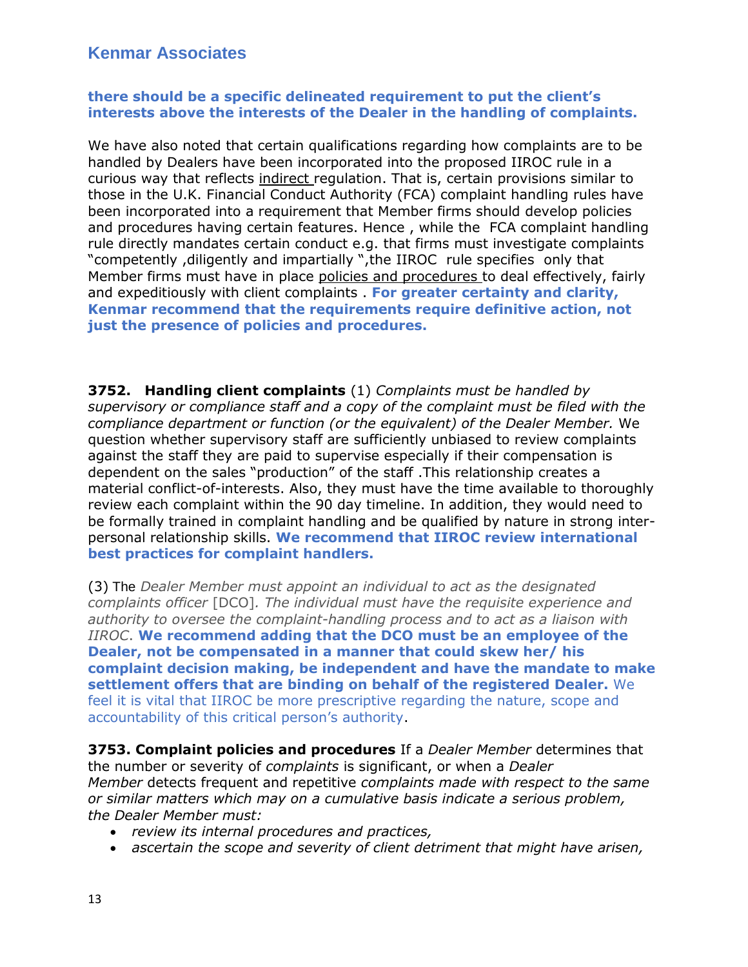#### **there should be a specific delineated requirement to put the client's interests above the interests of the Dealer in the handling of complaints.**

We have also noted that certain qualifications regarding how complaints are to be handled by Dealers have been incorporated into the proposed IIROC rule in a curious way that reflects indirect regulation. That is, certain provisions similar to those in the U.K. Financial Conduct Authority (FCA) complaint handling rules have been incorporated into a requirement that Member firms should develop policies and procedures having certain features. Hence , while the FCA complaint handling rule directly mandates certain conduct e.g. that firms must investigate complaints "competently ,diligently and impartially ",the IIROC rule specifies only that Member firms must have in place policies and procedures to deal effectively, fairly and expeditiously with client complaints . **For greater certainty and clarity, Kenmar recommend that the requirements require definitive action, not just the presence of policies and procedures.** 

**3752. Handling client complaints** (1) *Complaints must be handled by supervisory or compliance staff and a copy of the complaint must be filed with the compliance department or function (or the equivalent) of the Dealer Member.* We question whether supervisory staff are sufficiently unbiased to review complaints against the staff they are paid to supervise especially if their compensation is dependent on the sales "production" of the staff .This relationship creates a material conflict-of-interests. Also, they must have the time available to thoroughly review each complaint within the 90 day timeline. In addition, they would need to be formally trained in complaint handling and be qualified by nature in strong interpersonal relationship skills. **We recommend that IIROC review international best practices for complaint handlers.**

(3) The *Dealer Member must appoint an individual to act as the designated complaints officer* [DCO]*. The individual must have the requisite experience and authority to oversee the complaint-handling process and to act as a liaison with IIROC*. **We recommend adding that the DCO must be an employee of the Dealer, not be compensated in a manner that could skew her/ his complaint decision making, be independent and have the mandate to make settlement offers that are binding on behalf of the registered Dealer.** We feel it is vital that IIROC be more prescriptive regarding the nature, scope and accountability of this critical person's authority.

**3753. Complaint policies and procedures** If a *Dealer Member* determines that the number or severity of *complaints* is significant, or when a *Dealer Member* detects frequent and repetitive *complaints made with respect to the same or similar matters which may on a cumulative basis indicate a serious problem, the Dealer Member must:*

- *review its internal procedures and practices,*
- *ascertain the scope and severity of client detriment that might have arisen,*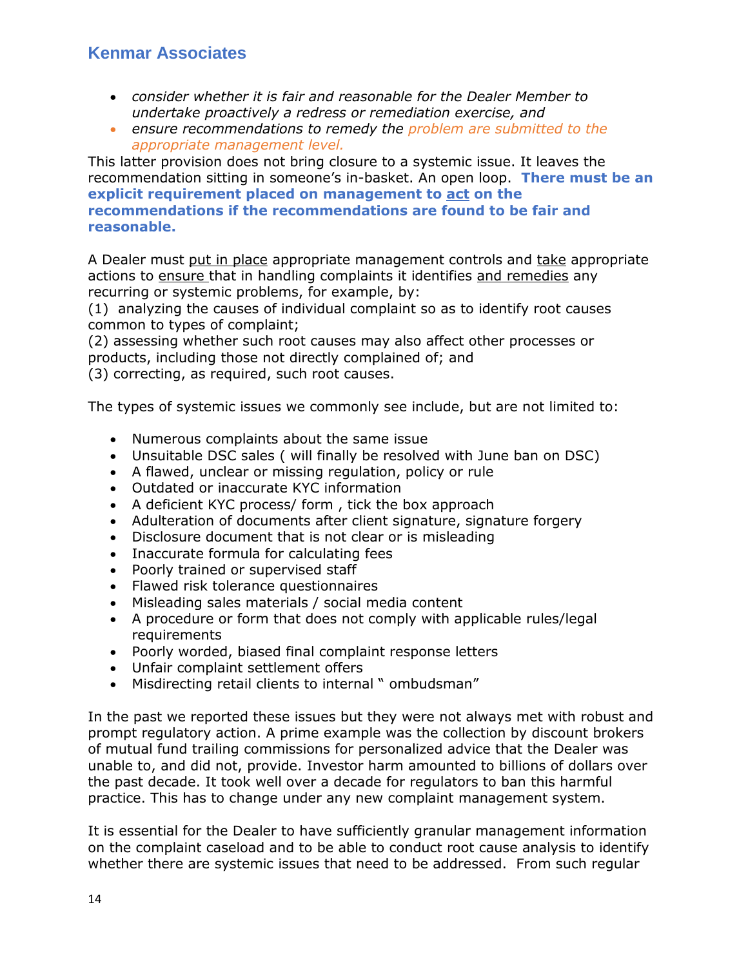- *consider whether it is fair and reasonable for the Dealer Member to undertake proactively a redress or remediation exercise, and*
- *ensure recommendations to remedy the problem are submitted to the appropriate management level.*

This latter provision does not bring closure to a systemic issue. It leaves the recommendation sitting in someone's in-basket. An open loop. **There must be an explicit requirement placed on management to act on the recommendations if the recommendations are found to be fair and reasonable.**

A Dealer must put in place appropriate management controls and take appropriate actions to ensure that in handling complaints it identifies and remedies any recurring or systemic problems, for example, by:

(1) analyzing the causes of individual complaint so as to identify root causes common to types of complaint;

(2) assessing whether such root causes may also affect other processes or products, including those not directly complained of; and

(3) correcting, as required, such root causes.

The types of systemic issues we commonly see include, but are not limited to:

- Numerous complaints about the same issue
- Unsuitable DSC sales ( will finally be resolved with June ban on DSC)
- A flawed, unclear or missing regulation, policy or rule
- Outdated or inaccurate KYC information
- A deficient KYC process/ form, tick the box approach
- Adulteration of documents after client signature, signature forgery
- Disclosure document that is not clear or is misleading
- Inaccurate formula for calculating fees
- Poorly trained or supervised staff
- Flawed risk tolerance questionnaires
- Misleading sales materials / social media content
- A procedure or form that does not comply with applicable rules/legal **requirements**
- Poorly worded, biased final complaint response letters
- Unfair complaint settlement offers
- Misdirecting retail clients to internal " ombudsman"

In the past we reported these issues but they were not always met with robust and prompt regulatory action. A prime example was the collection by discount brokers of mutual fund trailing commissions for personalized advice that the Dealer was unable to, and did not, provide. Investor harm amounted to billions of dollars over the past decade. It took well over a decade for regulators to ban this harmful practice. This has to change under any new complaint management system.

It is essential for the Dealer to have sufficiently granular management information on the complaint caseload and to be able to conduct root cause analysis to identify whether there are systemic issues that need to be addressed. From such regular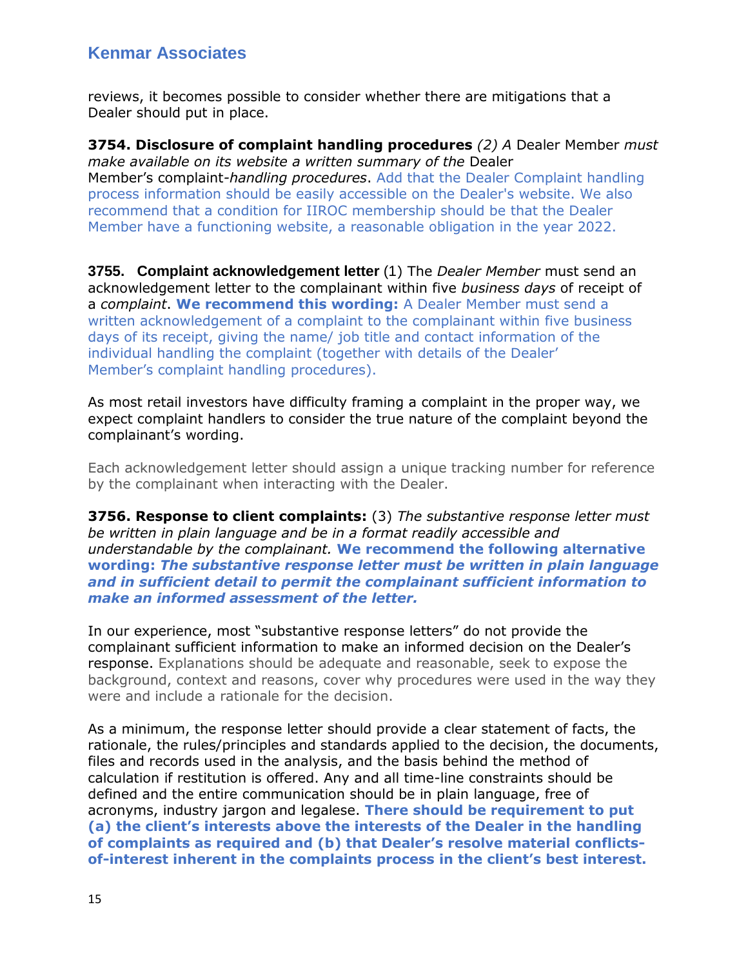reviews, it becomes possible to consider whether there are mitigations that a Dealer should put in place.

**3754. Disclosure of complaint handling procedures** *(2) A* Dealer Member *must make available on its website a written summary of the* Dealer Member's complaint*-handling procedures*. Add that the Dealer Complaint handling process information should be easily accessible on the Dealer's website. We also recommend that a condition for IIROC membership should be that the Dealer Member have a functioning website, a reasonable obligation in the year 2022.

**3755. Complaint acknowledgement letter** (1) The *Dealer Member* must send an acknowledgement letter to the complainant within five *business days* of receipt of a *complaint*. **We recommend this wording:** A Dealer Member must send a written acknowledgement of a complaint to the complainant within five business days of its receipt, giving the name/ job title and contact information of the individual handling the complaint (together with details of the Dealer' Member's complaint handling procedures).

As most retail investors have difficulty framing a complaint in the proper way, we expect complaint handlers to consider the true nature of the complaint beyond the complainant's wording.

Each acknowledgement letter should assign a unique tracking number for reference by the complainant when interacting with the Dealer.

**3756. Response to client complaints:** (3) *The substantive response letter must be written in plain language and be in a format readily accessible and understandable by the complainant.* **We recommend the following alternative wording:** *The substantive response letter must be written in plain language and in sufficient detail to permit the complainant sufficient information to make an informed assessment of the letter.*

In our experience, most "substantive response letters" do not provide the complainant sufficient information to make an informed decision on the Dealer's response. Explanations should be adequate and reasonable, seek to expose the background, context and reasons, cover why procedures were used in the way they were and include a rationale for the decision.

As a minimum, the response letter should provide a clear statement of facts, the rationale, the rules/principles and standards applied to the decision, the documents, files and records used in the analysis, and the basis behind the method of calculation if restitution is offered. Any and all time-line constraints should be defined and the entire communication should be in plain language, free of acronyms, industry jargon and legalese. **There should be requirement to put (a) the client's interests above the interests of the Dealer in the handling of complaints as required and (b) that Dealer's resolve material conflictsof-interest inherent in the complaints process in the client's best interest.**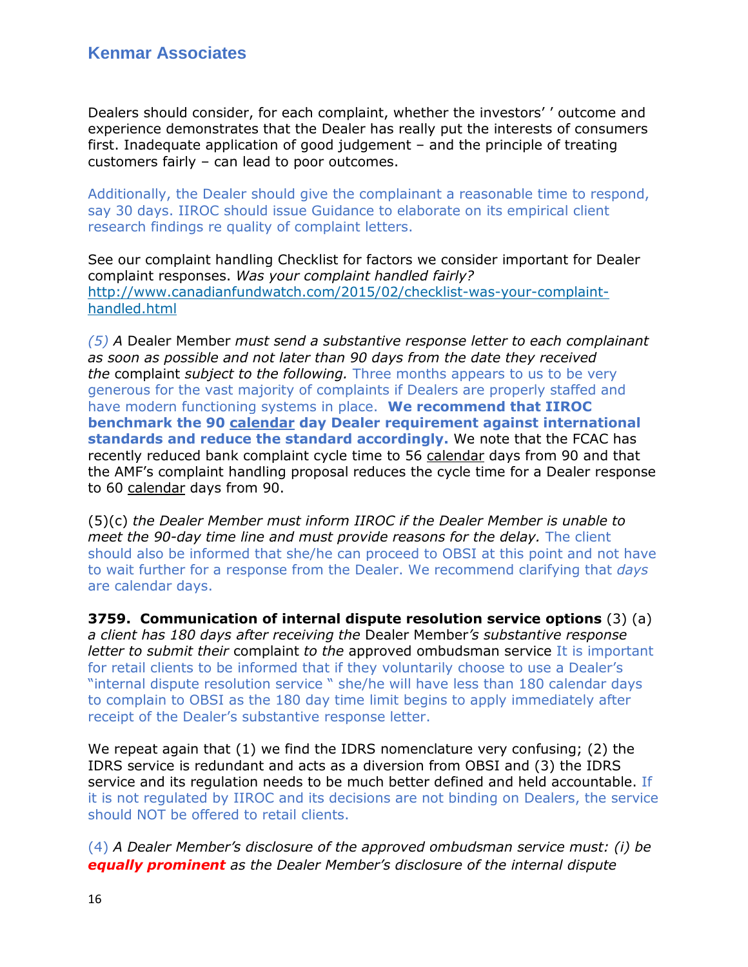Dealers should consider, for each complaint, whether the investors' ' outcome and experience demonstrates that the Dealer has really put the interests of consumers first. Inadequate application of good judgement – and the principle of treating customers fairly – can lead to poor outcomes.

Additionally, the Dealer should give the complainant a reasonable time to respond, say 30 days. IIROC should issue Guidance to elaborate on its empirical client research findings re quality of complaint letters.

See our complaint handling Checklist for factors we consider important for Dealer complaint responses. *Was your complaint handled fairly?* [http://www.canadianfundwatch.com/2015/02/checklist-was-your-complaint](http://www.canadianfundwatch.com/2015/02/checklist-was-your-complaint-handled.html)[handled.html](http://www.canadianfundwatch.com/2015/02/checklist-was-your-complaint-handled.html)

*(5) A* Dealer Member *must send a substantive response letter to each complainant as soon as possible and not later than 90 days from the date they received the* complaint *subject to the following.* Three months appears to us to be very generous for the vast majority of complaints if Dealers are properly staffed and have modern functioning systems in place. **We recommend that IIROC benchmark the 90 calendar day Dealer requirement against international standards and reduce the standard accordingly.** We note that the FCAC has recently reduced bank complaint cycle time to 56 calendar days from 90 and that the AMF's complaint handling proposal reduces the cycle time for a Dealer response to 60 calendar days from 90.

(5)(c) *the Dealer Member must inform IIROC if the Dealer Member is unable to meet the 90-day time line and must provide reasons for the delay.* The client should also be informed that she/he can proceed to OBSI at this point and not have to wait further for a response from the Dealer. We recommend clarifying that *days*  are calendar days.

**3759. Communication of internal dispute resolution service options** (3) (a) *a client has 180 days after receiving the* Dealer Member*'s substantive response letter to submit their* complaint *to the* approved ombudsman service It is important for retail clients to be informed that if they voluntarily choose to use a Dealer's "internal dispute resolution service " she/he will have less than 180 calendar days to complain to OBSI as the 180 day time limit begins to apply immediately after receipt of the Dealer's substantive response letter.

We repeat again that (1) we find the IDRS nomenclature very confusing; (2) the IDRS service is redundant and acts as a diversion from OBSI and (3) the IDRS service and its regulation needs to be much better defined and held accountable. If it is not regulated by IIROC and its decisions are not binding on Dealers, the service should NOT be offered to retail clients.

(4) *A Dealer Member's disclosure of the approved ombudsman service must: (i) be equally prominent as the Dealer Member's disclosure of the internal dispute*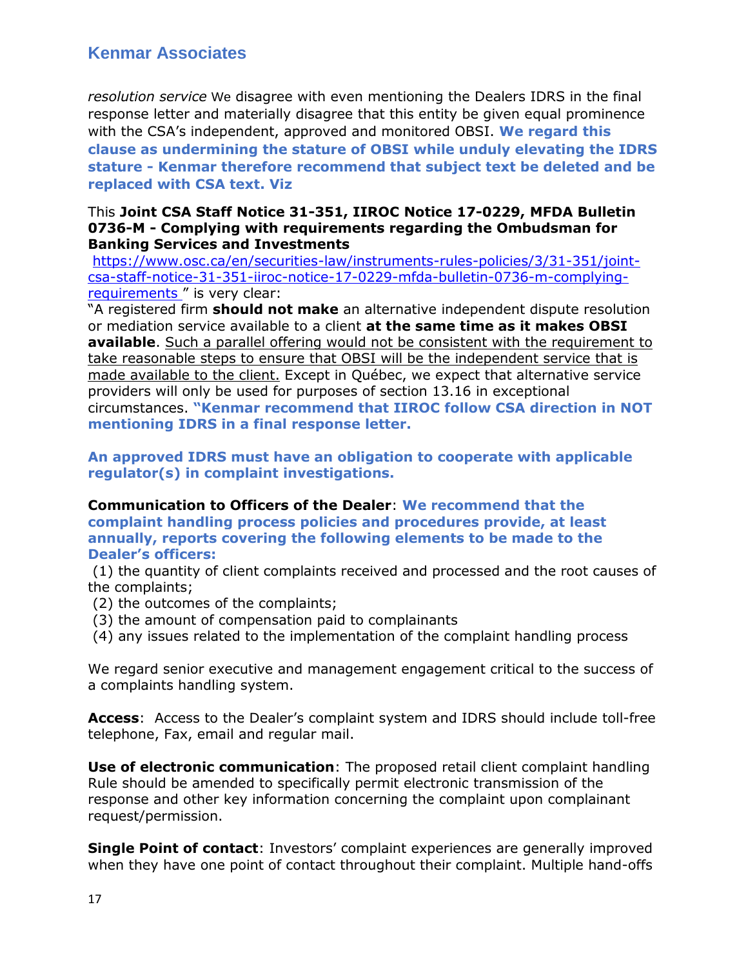*resolution service* We disagree with even mentioning the Dealers IDRS in the final response letter and materially disagree that this entity be given equal prominence with the CSA's independent, approved and monitored OBSI. **We regard this clause as undermining the stature of OBSI while unduly elevating the IDRS stature - Kenmar therefore recommend that subject text be deleted and be replaced with CSA text. Viz** 

#### This **Joint CSA Staff Notice 31-351, IIROC Notice 17-0229, MFDA Bulletin 0736-M - Complying with requirements regarding the Ombudsman for Banking Services and Investments**

[https://www.osc.ca/en/securities-law/instruments-rules-policies/3/31-351/joint](https://www.osc.ca/en/securities-law/instruments-rules-policies/3/31-351/joint-csa-staff-notice-31-351-iiroc-notice-17-0229-mfda-bulletin-0736-m-complying-requirements)[csa-staff-notice-31-351-iiroc-notice-17-0229-mfda-bulletin-0736-m-complying](https://www.osc.ca/en/securities-law/instruments-rules-policies/3/31-351/joint-csa-staff-notice-31-351-iiroc-notice-17-0229-mfda-bulletin-0736-m-complying-requirements)[requirements](https://www.osc.ca/en/securities-law/instruments-rules-policies/3/31-351/joint-csa-staff-notice-31-351-iiroc-notice-17-0229-mfda-bulletin-0736-m-complying-requirements)" is very clear:

"A registered firm **should not make** an alternative independent dispute resolution or mediation service available to a client **at the same time as it makes OBSI available**. Such a parallel offering would not be consistent with the requirement to take reasonable steps to ensure that OBSI will be the independent service that is made available to the client. Except in Québec, we expect that alternative service providers will only be used for purposes of section 13.16 in exceptional circumstances. **"Kenmar recommend that IIROC follow CSA direction in NOT mentioning IDRS in a final response letter.**

**An approved IDRS must have an obligation to cooperate with applicable regulator(s) in complaint investigations.** 

**Communication to Officers of the Dealer**: **We recommend that the complaint handling process policies and procedures provide, at least annually, reports covering the following elements to be made to the Dealer's officers:**

(1) the quantity of client complaints received and processed and the root causes of the complaints;

- (2) the outcomes of the complaints;
- (3) the amount of compensation paid to complainants
- (4) any issues related to the implementation of the complaint handling process

We regard senior executive and management engagement critical to the success of a complaints handling system.

**Access**: Access to the Dealer's complaint system and IDRS should include toll-free telephone, Fax, email and regular mail.

**Use of electronic communication**: The proposed retail client complaint handling Rule should be amended to specifically permit electronic transmission of the response and other key information concerning the complaint upon complainant request/permission.

**Single Point of contact**: Investors' complaint experiences are generally improved when they have one point of contact throughout their complaint. Multiple hand-offs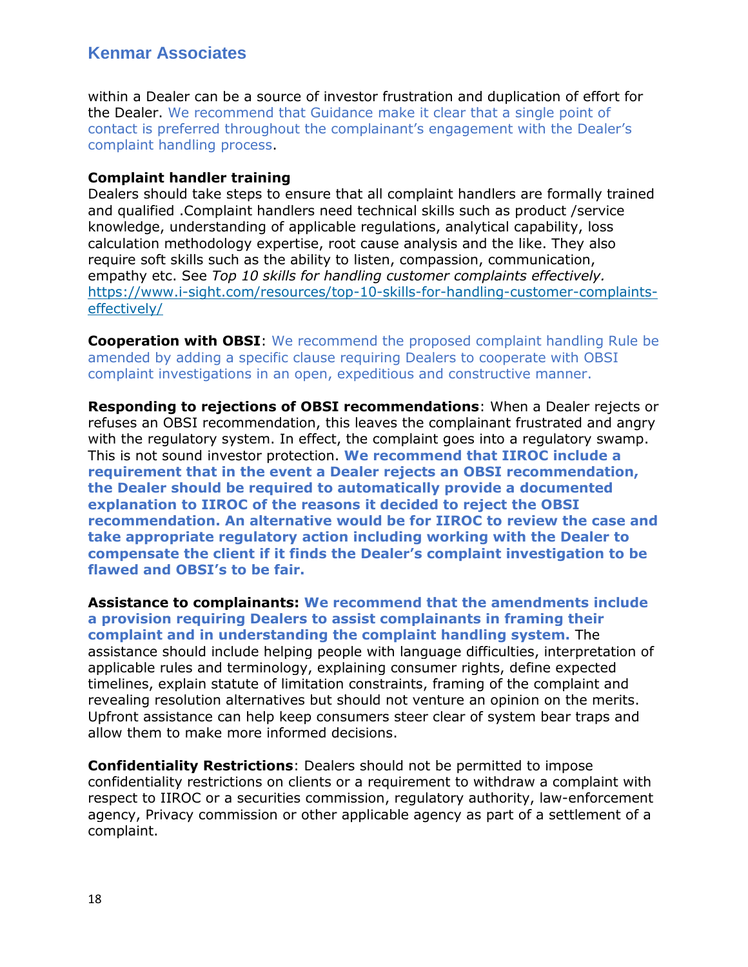within a Dealer can be a source of investor frustration and duplication of effort for the Dealer. We recommend that Guidance make it clear that a single point of contact is preferred throughout the complainant's engagement with the Dealer's complaint handling process.

#### **Complaint handler training**

Dealers should take steps to ensure that all complaint handlers are formally trained and qualified .Complaint handlers need technical skills such as product /service knowledge, understanding of applicable regulations, analytical capability, loss calculation methodology expertise, root cause analysis and the like. They also require soft skills such as the ability to listen, compassion, communication, empathy etc. See *Top 10 skills for handling customer complaints effectively.* [https://www.i-sight.com/resources/top-10-skills-for-handling-customer-complaints](https://www.i-sight.com/resources/top-10-skills-for-handling-customer-complaints-effectively/)[effectively/](https://www.i-sight.com/resources/top-10-skills-for-handling-customer-complaints-effectively/)

**Cooperation with OBSI**: We recommend the proposed complaint handling Rule be amended by adding a specific clause requiring Dealers to cooperate with OBSI complaint investigations in an open, expeditious and constructive manner.

**Responding to rejections of OBSI recommendations**: When a Dealer rejects or refuses an OBSI recommendation, this leaves the complainant frustrated and angry with the regulatory system. In effect, the complaint goes into a regulatory swamp. This is not sound investor protection. **We recommend that IIROC include a requirement that in the event a Dealer rejects an OBSI recommendation, the Dealer should be required to automatically provide a documented explanation to IIROC of the reasons it decided to reject the OBSI recommendation. An alternative would be for IIROC to review the case and take appropriate regulatory action including working with the Dealer to compensate the client if it finds the Dealer's complaint investigation to be flawed and OBSI's to be fair.** 

**Assistance to complainants: We recommend that the amendments include a provision requiring Dealers to assist complainants in framing their complaint and in understanding the complaint handling system.** The assistance should include helping people with language difficulties, interpretation of applicable rules and terminology, explaining consumer rights, define expected timelines, explain statute of limitation constraints, framing of the complaint and revealing resolution alternatives but should not venture an opinion on the merits. Upfront assistance can help keep consumers steer clear of system bear traps and allow them to make more informed decisions.

**Confidentiality Restrictions**: Dealers should not be permitted to impose confidentiality restrictions on clients or a requirement to withdraw a complaint with respect to IIROC or a securities commission, regulatory authority, law-enforcement agency, Privacy commission or other applicable agency as part of a settlement of a complaint.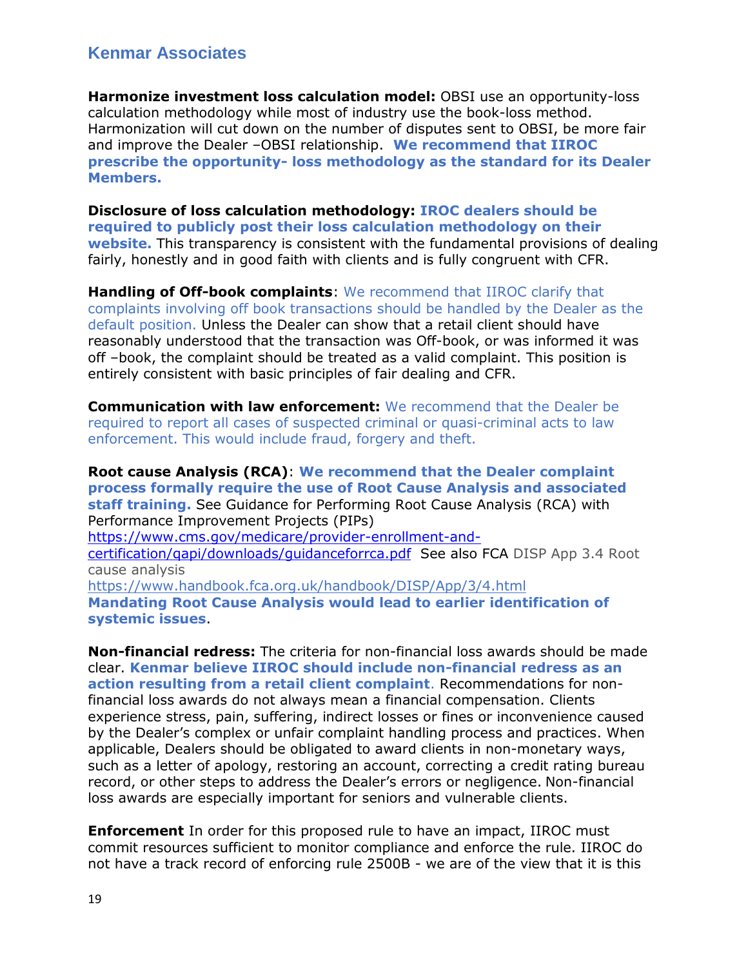**Harmonize investment loss calculation model:** OBSI use an opportunity-loss calculation methodology while most of industry use the book-loss method. Harmonization will cut down on the number of disputes sent to OBSI, be more fair and improve the Dealer –OBSI relationship. **We recommend that IIROC prescribe the opportunity- loss methodology as the standard for its Dealer Members.**

**Disclosure of loss calculation methodology: IROC dealers should be required to publicly post their loss calculation methodology on their website.** This transparency is consistent with the fundamental provisions of dealing fairly, honestly and in good faith with clients and is fully congruent with CFR.

**Handling of Off-book complaints**: We recommend that IIROC clarify that complaints involving off book transactions should be handled by the Dealer as the default position. Unless the Dealer can show that a retail client should have reasonably understood that the transaction was Off-book, or was informed it was off –book, the complaint should be treated as a valid complaint. This position is entirely consistent with basic principles of fair dealing and CFR.

**Communication with law enforcement:** We recommend that the Dealer be required to report all cases of suspected criminal or quasi-criminal acts to law enforcement. This would include fraud, forgery and theft.

**Root cause Analysis (RCA)**: **We recommend that the Dealer complaint process formally require the use of Root Cause Analysis and associated staff training.** See Guidance for Performing Root Cause Analysis (RCA) with Performance Improvement Projects (PIPs) [https://www.cms.gov/medicare/provider-enrollment-and](https://www.cms.gov/medicare/provider-enrollment-and-certification/qapi/downloads/guidanceforrca.pdf)[certification/qapi/downloads/guidanceforrca.pdf](https://www.cms.gov/medicare/provider-enrollment-and-certification/qapi/downloads/guidanceforrca.pdf) See also FCA DISP App 3.4 Root cause analysis <https://www.handbook.fca.org.uk/handbook/DISP/App/3/4.html> **Mandating Root Cause Analysis would lead to earlier identification of systemic issues**.

**Non-financial redress:** The criteria for non-financial loss awards should be made clear. **Kenmar believe IIROC should include non-financial redress as an action resulting from a retail client complaint**. Recommendations for nonfinancial loss awards do not always mean a financial compensation. Clients experience stress, pain, suffering, indirect losses or fines or inconvenience caused by the Dealer's complex or unfair complaint handling process and practices. When applicable, Dealers should be obligated to award clients in non-monetary ways, such as a letter of apology, restoring an account, correcting a credit rating bureau record, or other steps to address the Dealer's errors or negligence. Non-financial loss awards are especially important for seniors and vulnerable clients.

**Enforcement** In order for this proposed rule to have an impact, IIROC must commit resources sufficient to monitor compliance and enforce the rule. IIROC do not have a track record of enforcing rule 2500B - we are of the view that it is this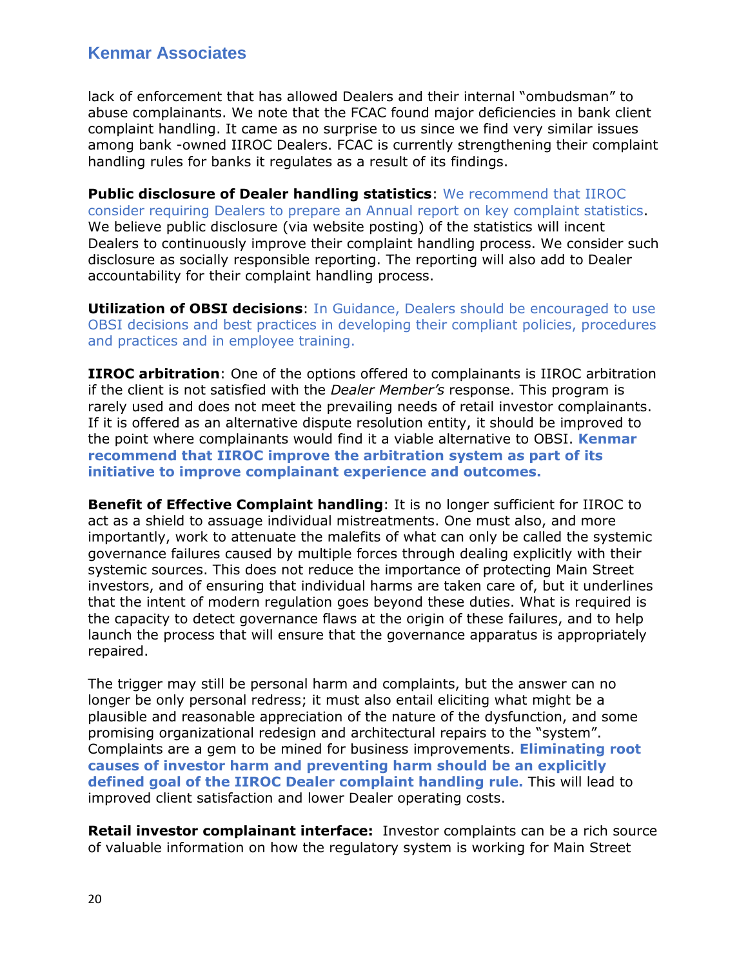lack of enforcement that has allowed Dealers and their internal "ombudsman" to abuse complainants. We note that the FCAC found major deficiencies in bank client complaint handling. It came as no surprise to us since we find very similar issues among bank -owned IIROC Dealers. FCAC is currently strengthening their complaint handling rules for banks it regulates as a result of its findings.

**Public disclosure of Dealer handling statistics**: We recommend that IIROC consider requiring Dealers to prepare an Annual report on key complaint statistics. We believe public disclosure (via website posting) of the statistics will incent Dealers to continuously improve their complaint handling process. We consider such disclosure as socially responsible reporting. The reporting will also add to Dealer accountability for their complaint handling process.

**Utilization of OBSI decisions**: In Guidance, Dealers should be encouraged to use OBSI decisions and best practices in developing their compliant policies, procedures and practices and in employee training.

**IIROC arbitration**: One of the options offered to complainants is IIROC arbitration if the client is not satisfied with the *Dealer Member's* response. This program is rarely used and does not meet the prevailing needs of retail investor complainants. If it is offered as an alternative dispute resolution entity, it should be improved to the point where complainants would find it a viable alternative to OBSI. **Kenmar recommend that IIROC improve the arbitration system as part of its initiative to improve complainant experience and outcomes.**

**Benefit of Effective Complaint handling**: It is no longer sufficient for IIROC to act as a shield to assuage individual mistreatments. One must also, and more importantly, work to attenuate the malefits of what can only be called the systemic governance failures caused by multiple forces through dealing explicitly with their systemic sources. This does not reduce the importance of protecting Main Street investors, and of ensuring that individual harms are taken care of, but it underlines that the intent of modern regulation goes beyond these duties. What is required is the capacity to detect governance flaws at the origin of these failures, and to help launch the process that will ensure that the governance apparatus is appropriately repaired.

The trigger may still be personal harm and complaints, but the answer can no longer be only personal redress; it must also entail eliciting what might be a plausible and reasonable appreciation of the nature of the dysfunction, and some promising organizational redesign and architectural repairs to the "system". Complaints are a gem to be mined for business improvements. **Eliminating root causes of investor harm and preventing harm should be an explicitly defined goal of the IIROC Dealer complaint handling rule.** This will lead to improved client satisfaction and lower Dealer operating costs.

**Retail investor complainant interface:** Investor complaints can be a rich source of valuable information on how the regulatory system is working for Main Street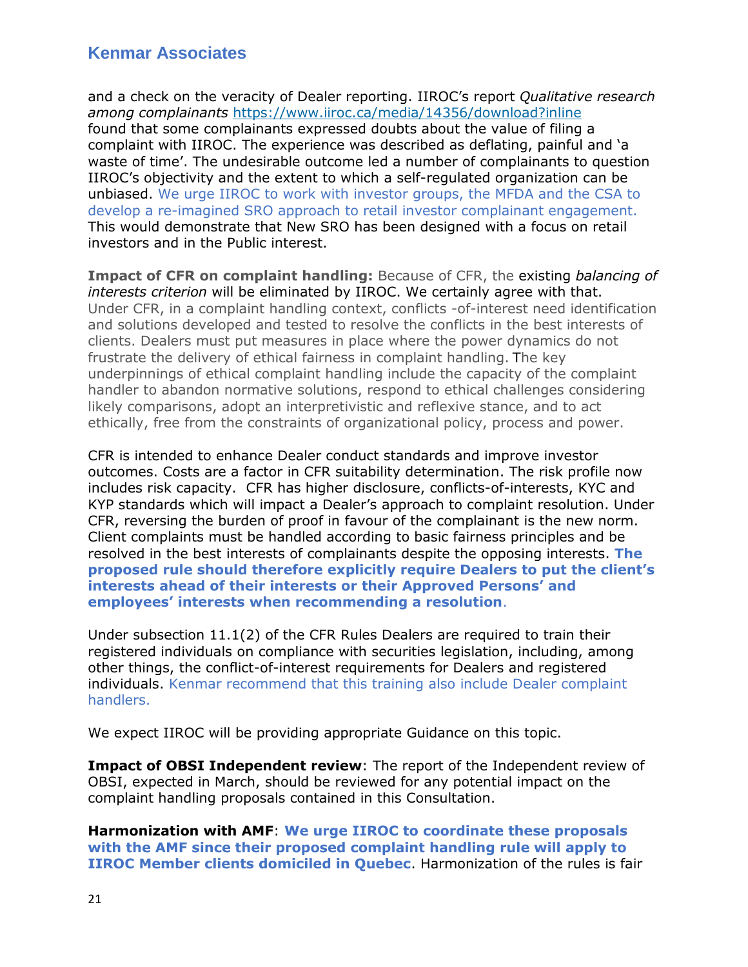and a check on the veracity of Dealer reporting. IIROC's report *Qualitative research among complainants* <https://www.iiroc.ca/media/14356/download?inline> found that some complainants expressed doubts about the value of filing a complaint with IIROC. The experience was described as deflating, painful and 'a waste of time'. The undesirable outcome led a number of complainants to question IIROC's objectivity and the extent to which a self-regulated organization can be unbiased. We urge IIROC to work with investor groups, the MFDA and the CSA to develop a re-imagined SRO approach to retail investor complainant engagement. This would demonstrate that New SRO has been designed with a focus on retail investors and in the Public interest.

**Impact of CFR on complaint handling:** Because of CFR, the existing *balancing of interests criterion* will be eliminated by IIROC. We certainly agree with that. Under CFR, in a complaint handling context, conflicts -of-interest need identification and solutions developed and tested to resolve the conflicts in the best interests of clients. Dealers must put measures in place where the power dynamics do not frustrate the delivery of ethical fairness in complaint handling. The key underpinnings of ethical complaint handling include the capacity of the complaint handler to abandon normative solutions, respond to ethical challenges considering likely comparisons, adopt an interpretivistic and reflexive stance, and to act ethically, free from the constraints of organizational policy, process and power.

CFR is intended to enhance Dealer conduct standards and improve investor outcomes. Costs are a factor in CFR suitability determination. The risk profile now includes risk capacity. CFR has higher disclosure, conflicts-of-interests, KYC and KYP standards which will impact a Dealer's approach to complaint resolution. Under CFR, reversing the burden of proof in favour of the complainant is the new norm. Client complaints must be handled according to basic fairness principles and be resolved in the best interests of complainants despite the opposing interests. **The proposed rule should therefore explicitly require Dealers to put the client's interests ahead of their interests or their Approved Persons' and employees' interests when recommending a resolution**.

Under subsection 11.1(2) of the CFR Rules Dealers are required to train their registered individuals on compliance with securities legislation, including, among other things, the conflict-of-interest requirements for Dealers and registered individuals. Kenmar recommend that this training also include Dealer complaint handlers.

We expect IIROC will be providing appropriate Guidance on this topic.

**Impact of OBSI Independent review**: The report of the Independent review of OBSI, expected in March, should be reviewed for any potential impact on the complaint handling proposals contained in this Consultation.

**Harmonization with AMF**: **We urge IIROC to coordinate these proposals with the AMF since their proposed complaint handling rule will apply to IIROC Member clients domiciled in Quebec**. Harmonization of the rules is fair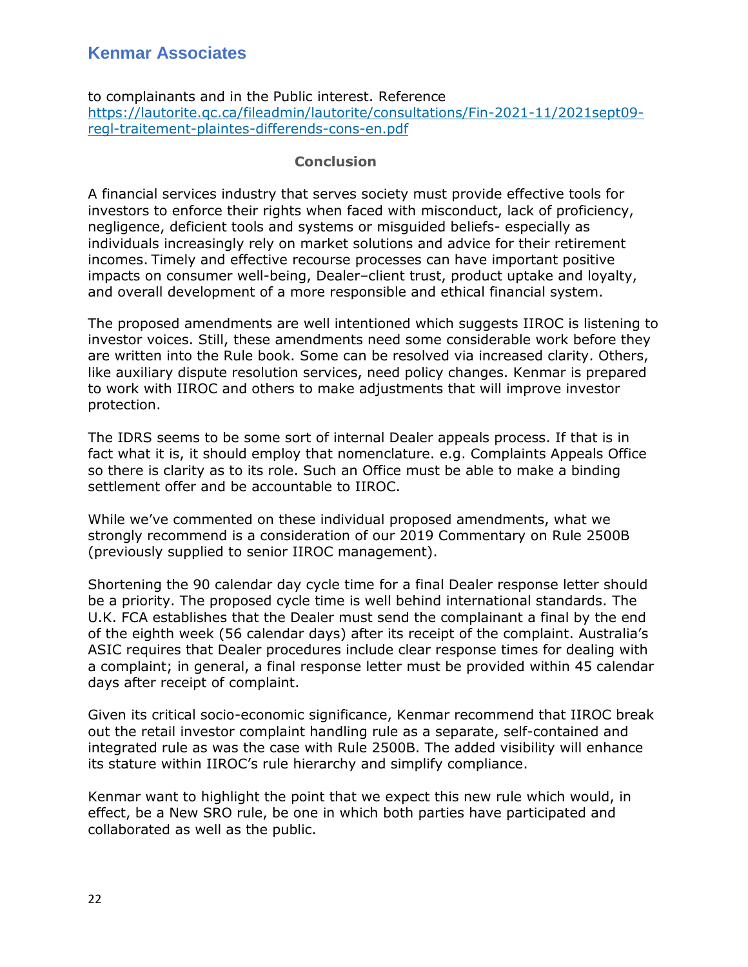to complainants and in the Public interest. Reference [https://lautorite.qc.ca/fileadmin/lautorite/consultations/Fin-2021-11/2021sept09](https://lautorite.qc.ca/fileadmin/lautorite/consultations/Fin-2021-11/2021sept09-regl-traitement-plaintes-differends-cons-en.pdf) [regl-traitement-plaintes-differends-cons-en.pdf](https://lautorite.qc.ca/fileadmin/lautorite/consultations/Fin-2021-11/2021sept09-regl-traitement-plaintes-differends-cons-en.pdf)

#### **Conclusion**

A financial services industry that serves society must provide effective tools for investors to enforce their rights when faced with misconduct, lack of proficiency, negligence, deficient tools and systems or misguided beliefs- especially as individuals increasingly rely on market solutions and advice for their retirement incomes. Timely and effective recourse processes can have important positive impacts on consumer well-being, Dealer–client trust, product uptake and loyalty, and overall development of a more responsible and ethical financial system.

The proposed amendments are well intentioned which suggests IIROC is listening to investor voices. Still, these amendments need some considerable work before they are written into the Rule book. Some can be resolved via increased clarity. Others, like auxiliary dispute resolution services, need policy changes. Kenmar is prepared to work with IIROC and others to make adjustments that will improve investor protection.

The IDRS seems to be some sort of internal Dealer appeals process. If that is in fact what it is, it should employ that nomenclature. e.g. Complaints Appeals Office so there is clarity as to its role. Such an Office must be able to make a binding settlement offer and be accountable to IIROC.

While we've commented on these individual proposed amendments, what we strongly recommend is a consideration of our 2019 Commentary on Rule 2500B (previously supplied to senior IIROC management).

Shortening the 90 calendar day cycle time for a final Dealer response letter should be a priority. The proposed cycle time is well behind international standards. The U.K. FCA establishes that the Dealer must send the complainant a final by the end of the eighth week (56 calendar days) after its receipt of the complaint. Australia's ASIC requires that Dealer procedures include clear response times for dealing with a complaint; in general, a final response letter must be provided within 45 calendar days after receipt of complaint.

Given its critical socio-economic significance, Kenmar recommend that IIROC break out the retail investor complaint handling rule as a separate, self-contained and integrated rule as was the case with Rule 2500B. The added visibility will enhance its stature within IIROC's rule hierarchy and simplify compliance.

Kenmar want to highlight the point that we expect this new rule which would, in effect, be a New SRO rule, be one in which both parties have participated and collaborated as well as the public.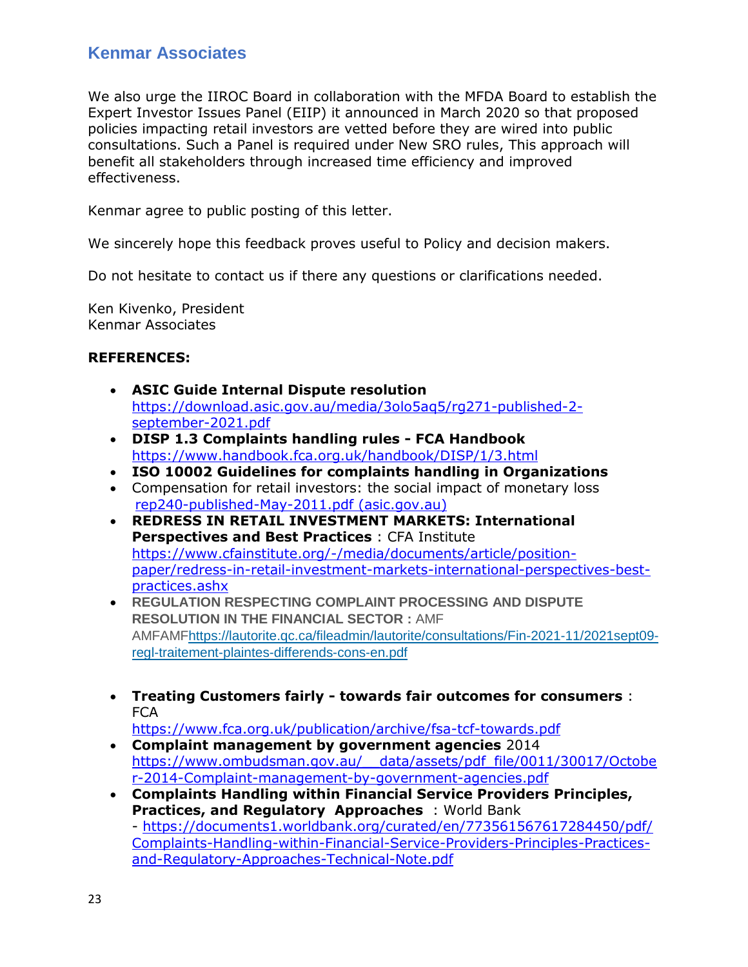We also urge the IIROC Board in collaboration with the MFDA Board to establish the Expert Investor Issues Panel (EIIP) it announced in March 2020 so that proposed policies impacting retail investors are vetted before they are wired into public consultations. Such a Panel is required under New SRO rules, This approach will benefit all stakeholders through increased time efficiency and improved effectiveness.

Kenmar agree to public posting of this letter.

We sincerely hope this feedback proves useful to Policy and decision makers.

Do not hesitate to contact us if there any questions or clarifications needed.

Ken Kivenko, President Kenmar Associates

### **REFERENCES:**

- **ASIC Guide Internal Dispute resolution** [https://download.asic.gov.au/media/3olo5aq5/rg271-published-2](https://download.asic.gov.au/media/3olo5aq5/rg271-published-2-september-2021.pdf) [september-2021.pdf](https://download.asic.gov.au/media/3olo5aq5/rg271-published-2-september-2021.pdf)
- **DISP 1.3 Complaints handling rules - FCA Handbook** <https://www.handbook.fca.org.uk/handbook/DISP/1/3.html>
- **ISO 10002 Guidelines for complaints handling in Organizations**
- Compensation for retail investors: the social impact of monetary loss [rep240-published-May-2011.pdf \(asic.gov.au\)](http://download.asic.gov.au/media/1343636/rep240-published-May-2011.pdf)
- **REDRESS IN RETAIL INVESTMENT MARKETS: International Perspectives and Best Practices** : CFA Institute [https://www.cfainstitute.org/-/media/documents/article/position](https://www.cfainstitute.org/-/media/documents/article/position-paper/redress-in-retail-investment-markets-international-perspectives-best-practices.ashx)[paper/redress-in-retail-investment-markets-international-perspectives-best](https://www.cfainstitute.org/-/media/documents/article/position-paper/redress-in-retail-investment-markets-international-perspectives-best-practices.ashx)[practices.ashx](https://www.cfainstitute.org/-/media/documents/article/position-paper/redress-in-retail-investment-markets-international-perspectives-best-practices.ashx)
- **REGULATION RESPECTING COMPLAINT PROCESSING AND DISPUTE RESOLUTION IN THE FINANCIAL SECTOR :** AMF AMFAM[Fhttps://lautorite.qc.ca/fileadmin/lautorite/consultations/Fin-2021-11/2021sept09](https://lautorite.qc.ca/fileadmin/lautorite/consultations/Fin-2021-11/2021sept09-regl-traitement-plaintes-differends-cons-en.pdf) [regl-traitement-plaintes-differends-cons-en.pdf](https://lautorite.qc.ca/fileadmin/lautorite/consultations/Fin-2021-11/2021sept09-regl-traitement-plaintes-differends-cons-en.pdf)
- **Treating Customers fairly - towards fair outcomes for consumers** : **FCA**

<https://www.fca.org.uk/publication/archive/fsa-tcf-towards.pdf>

- **Complaint management by government agencies** 2014 [https://www.ombudsman.gov.au/\\_\\_data/assets/pdf\\_file/0011/30017/Octobe](https://www.ombudsman.gov.au/__data/assets/pdf_file/0011/30017/October-2014-Complaint-management-by-government-agencies.pdf) [r-2014-Complaint-management-by-government-agencies.pdf](https://www.ombudsman.gov.au/__data/assets/pdf_file/0011/30017/October-2014-Complaint-management-by-government-agencies.pdf)
- **Complaints Handling within Financial Service Providers Principles, Practices, and Regulatory Approaches** : World Bank - [https://documents1.worldbank.org/curated/en/773561567617284450/pdf/](https://documents1.worldbank.org/curated/en/773561567617284450/pdf/Complaints-Handling-within-Financial-Service-Providers-Principles-Practices-and-Regulatory-Approaches-Technical-Note.pdf) [Complaints-Handling-within-Financial-Service-Providers-Principles-Practices](https://documents1.worldbank.org/curated/en/773561567617284450/pdf/Complaints-Handling-within-Financial-Service-Providers-Principles-Practices-and-Regulatory-Approaches-Technical-Note.pdf)[and-Regulatory-Approaches-Technical-Note.pdf](https://documents1.worldbank.org/curated/en/773561567617284450/pdf/Complaints-Handling-within-Financial-Service-Providers-Principles-Practices-and-Regulatory-Approaches-Technical-Note.pdf)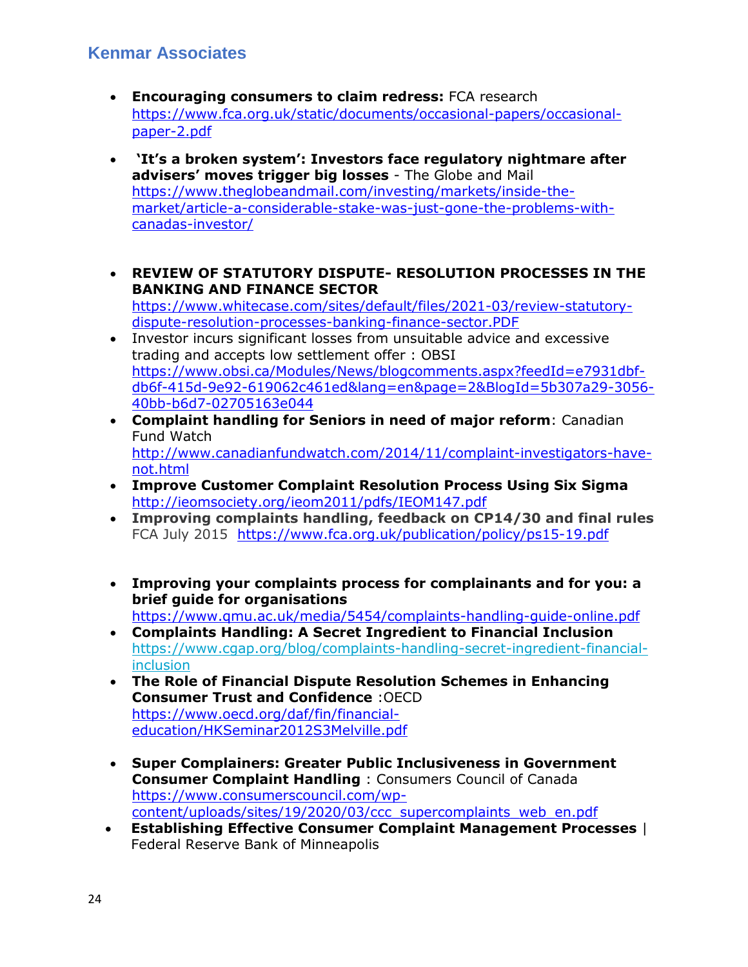- **Encouraging consumers to claim redress:** FCA research [https://www.fca.org.uk/static/documents/occasional-papers/occasional](https://www.fca.org.uk/static/documents/occasional-papers/occasional-paper-2.pdf)[paper-2.pdf](https://www.fca.org.uk/static/documents/occasional-papers/occasional-paper-2.pdf)
- **'It's a broken system': Investors face regulatory nightmare after advisers' moves trigger big losses** - The Globe and Mail [https://www.theglobeandmail.com/investing/markets/inside-the](https://www.theglobeandmail.com/investing/markets/inside-the-market/article-a-considerable-stake-was-just-gone-the-problems-with-canadas-investor/)[market/article-a-considerable-stake-was-just-gone-the-problems-with](https://www.theglobeandmail.com/investing/markets/inside-the-market/article-a-considerable-stake-was-just-gone-the-problems-with-canadas-investor/)[canadas-investor/](https://www.theglobeandmail.com/investing/markets/inside-the-market/article-a-considerable-stake-was-just-gone-the-problems-with-canadas-investor/)
- **REVIEW OF STATUTORY DISPUTE- RESOLUTION PROCESSES IN THE BANKING AND FINANCE SECTOR** [https://www.whitecase.com/sites/default/files/2021-03/review-statutory](https://www.whitecase.com/sites/default/files/2021-03/review-statutory-dispute-resolution-processes-banking-finance-sector.PDF)[dispute-resolution-processes-banking-finance-sector.PDF](https://www.whitecase.com/sites/default/files/2021-03/review-statutory-dispute-resolution-processes-banking-finance-sector.PDF)
- Investor incurs significant losses from unsuitable advice and excessive trading and accepts low settlement offer : OBSI [https://www.obsi.ca/Modules/News/blogcomments.aspx?feedId=e7931dbf](https://www.obsi.ca/Modules/News/blogcomments.aspx?feedId=e7931dbf-db6f-415d-9e92-619062c461ed&lang=en&page=2&BlogId=5b307a29-3056-40bb-b6d7-02705163e044)[db6f-415d-9e92-619062c461ed&lang=en&page=2&BlogId=5b307a29-3056-](https://www.obsi.ca/Modules/News/blogcomments.aspx?feedId=e7931dbf-db6f-415d-9e92-619062c461ed&lang=en&page=2&BlogId=5b307a29-3056-40bb-b6d7-02705163e044) [40bb-b6d7-02705163e044](https://www.obsi.ca/Modules/News/blogcomments.aspx?feedId=e7931dbf-db6f-415d-9e92-619062c461ed&lang=en&page=2&BlogId=5b307a29-3056-40bb-b6d7-02705163e044)
- **Complaint handling for Seniors in need of major reform**: Canadian Fund Watch [http://www.canadianfundwatch.com/2014/11/complaint-investigators-have](http://www.canadianfundwatch.com/2014/11/complaint-investigators-have-not.html)[not.html](http://www.canadianfundwatch.com/2014/11/complaint-investigators-have-not.html)
- **Improve Customer Complaint Resolution Process Using Six Sigma** <http://ieomsociety.org/ieom2011/pdfs/IEOM147.pdf>
- **Improving complaints handling, feedback on CP14/30 and final rules** FCA July 2015 <https://www.fca.org.uk/publication/policy/ps15-19.pdf>
- **Improving your complaints process for complainants and for you: a brief guide for organisations** <https://www.qmu.ac.uk/media/5454/complaints-handling-guide-online.pdf>
- **Complaints Handling: A Secret Ingredient to Financial Inclusion**  [https://www.cgap.org/blog/complaints-handling-secret-ingredient-financial](https://www.cgap.org/blog/complaints-handling-secret-ingredient-financial-inclusion)[inclusion](https://www.cgap.org/blog/complaints-handling-secret-ingredient-financial-inclusion)
- **The Role of Financial Dispute Resolution Schemes in Enhancing Consumer Trust and Confidence** :OECD [https://www.oecd.org/daf/fin/financial](https://www.oecd.org/daf/fin/financial-education/HKSeminar2012S3Melville.pdf)[education/HKSeminar2012S3Melville.pdf](https://www.oecd.org/daf/fin/financial-education/HKSeminar2012S3Melville.pdf)
- **Super Complainers: Greater Public Inclusiveness in Government Consumer Complaint Handling** : Consumers Council of Canada [https://www.consumerscouncil.com/wp](https://www.consumerscouncil.com/wp-content/uploads/sites/19/2020/03/ccc_supercomplaints_web_en.pdf)[content/uploads/sites/19/2020/03/ccc\\_supercomplaints\\_web\\_en.pdf](https://www.consumerscouncil.com/wp-content/uploads/sites/19/2020/03/ccc_supercomplaints_web_en.pdf)
- **Establishing Effective Consumer Complaint Management Processes** | Federal Reserve Bank of Minneapolis